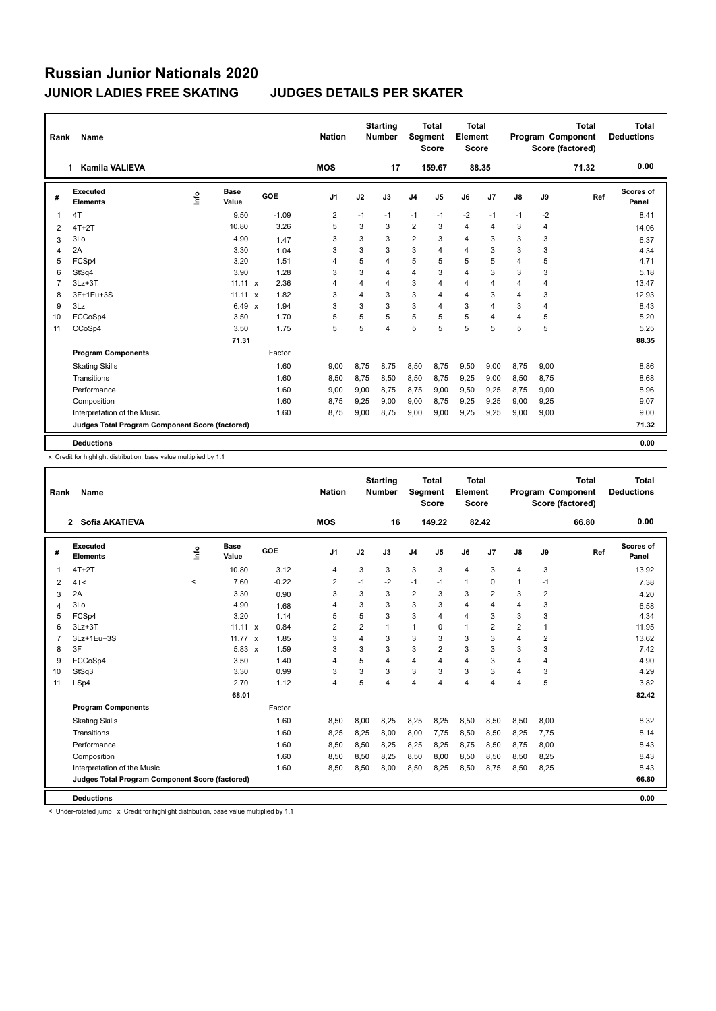| Rank           | Name                                            |      |                      |         | <b>Nation</b>  |      | <b>Starting</b><br><b>Number</b> | Segment        | <b>Total</b><br><b>Score</b> | <b>Total</b><br>Element<br><b>Score</b> |                |      |                         | <b>Total</b><br>Program Component<br>Score (factored) | <b>Total</b><br><b>Deductions</b> |
|----------------|-------------------------------------------------|------|----------------------|---------|----------------|------|----------------------------------|----------------|------------------------------|-----------------------------------------|----------------|------|-------------------------|-------------------------------------------------------|-----------------------------------|
|                | <b>Kamila VALIEVA</b><br>1.                     |      |                      |         | <b>MOS</b>     |      | 17                               |                | 159.67                       |                                         | 88.35          |      |                         | 71.32                                                 | 0.00                              |
| #              | Executed<br><b>Elements</b>                     | ١nf٥ | <b>Base</b><br>Value | GOE     | J <sub>1</sub> | J2   | J3                               | J <sub>4</sub> | J <sub>5</sub>               | J6                                      | J7             | J8   | J9                      | Ref                                                   | Scores of<br>Panel                |
| 1              | 4T                                              |      | 9.50                 | $-1.09$ | $\overline{2}$ | $-1$ | $-1$                             | $-1$           | $-1$                         | $-2$                                    | $-1$           | $-1$ | $-2$                    |                                                       | 8.41                              |
| 2              | $4T+2T$                                         |      | 10.80                | 3.26    | 5              | 3    | 3                                | $\overline{2}$ | 3                            | 4                                       | $\overline{4}$ | 3    | $\overline{\mathbf{4}}$ |                                                       | 14.06                             |
| 3              | 3Lo                                             |      | 4.90                 | 1.47    | 3              | 3    | 3                                | $\overline{2}$ | 3                            | 4                                       | 3              | 3    | 3                       |                                                       | 6.37                              |
| 4              | 2A                                              |      | 3.30                 | 1.04    | 3              | 3    | 3                                | 3              | $\overline{\mathbf{A}}$      | 4                                       | 3              | 3    | 3                       |                                                       | 4.34                              |
| 5              | FCSp4                                           |      | 3.20                 | 1.51    | $\overline{4}$ | 5    | 4                                | 5              | 5                            | 5                                       | 5              | 4    | 5                       |                                                       | 4.71                              |
| 6              | StSq4                                           |      | 3.90                 | 1.28    | 3              | 3    | 4                                | 4              | 3                            | 4                                       | 3              | 3    | 3                       |                                                       | 5.18                              |
| $\overline{7}$ | $3Lz + 3T$                                      |      | $11.11 \times$       | 2.36    | $\overline{4}$ | 4    | 4                                | 3              | 4                            | 4                                       | $\overline{4}$ | 4    | $\overline{\mathbf{4}}$ |                                                       | 13.47                             |
| 8              | 3F+1Eu+3S                                       |      | $11.11 \times$       | 1.82    | 3              | 4    | 3                                | 3              | 4                            | 4                                       | 3              | 4    | 3                       |                                                       | 12.93                             |
| 9              | 3Lz                                             |      | $6.49 \times$        | 1.94    | 3              | 3    | 3                                | 3              | $\overline{\mathbf{A}}$      | 3                                       | $\overline{4}$ | 3    | $\overline{\mathbf{4}}$ |                                                       | 8.43                              |
| 10             | FCCoSp4                                         |      | 3.50                 | 1.70    | 5              | 5    | 5                                | 5              | 5                            | 5                                       | $\overline{4}$ | 4    | 5                       |                                                       | 5.20                              |
| 11             | CCoSp4                                          |      | 3.50                 | 1.75    | 5              | 5    | 4                                | 5              | 5                            | 5                                       | 5              | 5    | 5                       |                                                       | 5.25                              |
|                |                                                 |      | 71.31                |         |                |      |                                  |                |                              |                                         |                |      |                         |                                                       | 88.35                             |
|                | <b>Program Components</b>                       |      |                      | Factor  |                |      |                                  |                |                              |                                         |                |      |                         |                                                       |                                   |
|                | <b>Skating Skills</b>                           |      |                      | 1.60    | 9,00           | 8,75 | 8,75                             | 8,50           | 8,75                         | 9,50                                    | 9,00           | 8,75 | 9,00                    |                                                       | 8.86                              |
|                | Transitions                                     |      |                      | 1.60    | 8.50           | 8.75 | 8.50                             | 8,50           | 8.75                         | 9,25                                    | 9,00           | 8.50 | 8,75                    |                                                       | 8.68                              |
|                | Performance                                     |      |                      | 1.60    | 9,00           | 9,00 | 8.75                             | 8,75           | 9,00                         | 9,50                                    | 9,25           | 8.75 | 9,00                    |                                                       | 8.96                              |
|                | Composition                                     |      |                      | 1.60    | 8.75           | 9,25 | 9,00                             | 9,00           | 8,75                         | 9,25                                    | 9,25           | 9.00 | 9,25                    |                                                       | 9.07                              |
|                | Interpretation of the Music                     |      |                      | 1.60    | 8.75           | 9,00 | 8.75                             | 9,00           | 9,00                         | 9.25                                    | 9,25           | 9.00 | 9,00                    |                                                       | 9.00                              |
|                | Judges Total Program Component Score (factored) |      |                      |         |                |      |                                  |                |                              |                                         |                |      |                         |                                                       | 71.32                             |
|                | <b>Deductions</b>                               |      |                      |         |                |      |                                  |                |                              |                                         |                |      |                         |                                                       | 0.00                              |

x Credit for highlight distribution, base value multiplied by 1.1

| Rank           | <b>Name</b>                                     |                                  |                      |            | <b>Nation</b>  |                         | <b>Starting</b><br><b>Number</b> | Segment        | <b>Total</b><br><b>Score</b> | <b>Total</b><br>Element<br><b>Score</b> |                |                |                | <b>Total</b><br>Program Component<br>Score (factored) | <b>Total</b><br><b>Deductions</b> |
|----------------|-------------------------------------------------|----------------------------------|----------------------|------------|----------------|-------------------------|----------------------------------|----------------|------------------------------|-----------------------------------------|----------------|----------------|----------------|-------------------------------------------------------|-----------------------------------|
|                | 2 Sofia AKATIEVA                                |                                  |                      |            | <b>MOS</b>     |                         | 16                               |                | 149.22                       |                                         | 82.42          |                |                | 66.80                                                 | 0.00                              |
| #              | Executed<br><b>Elements</b>                     | $\mathop{\mathsf{Int}}\nolimits$ | <b>Base</b><br>Value | <b>GOE</b> | J <sub>1</sub> | J2                      | J3                               | J <sub>4</sub> | J5                           | J6                                      | J7             | $\mathsf{J}8$  | J9             | Ref                                                   | Scores of<br>Panel                |
| 1              | $4T+2T$                                         |                                  | 10.80                | 3.12       | 4              | 3                       | 3                                | 3              | 3                            | $\overline{4}$                          | 3              | 4              | 3              |                                                       | 13.92                             |
| 2              | 4T<                                             | $\prec$                          | 7.60                 | $-0.22$    | 2              | $-1$                    | $-2$                             | $-1$           | $-1$                         | $\mathbf{1}$                            | 0              | 1              | $-1$           |                                                       | 7.38                              |
| 3              | 2A                                              |                                  | 3.30                 | 0.90       | 3              | 3                       | 3                                | $\overline{2}$ | 3                            | 3                                       | $\overline{2}$ | 3              | $\overline{2}$ |                                                       | 4.20                              |
| 4              | 3Lo                                             |                                  | 4.90                 | 1.68       | $\overline{4}$ | 3                       | 3                                | 3              | 3                            | 4                                       | $\overline{4}$ | $\overline{4}$ | 3              |                                                       | 6.58                              |
| 5              | FCSp4                                           |                                  | 3.20                 | 1.14       | 5              | 5                       | 3                                | 3              | 4                            | 4                                       | 3              | 3              | 3              |                                                       | 4.34                              |
| 6              | $3Lz + 3T$                                      |                                  | $11.11 \times$       | 0.84       | $\overline{2}$ | $\overline{2}$          | $\mathbf{1}$                     | $\mathbf{1}$   | 0                            | $\mathbf{1}$                            | $\overline{2}$ | $\overline{2}$ | 1              |                                                       | 11.95                             |
| $\overline{7}$ | 3Lz+1Eu+3S                                      |                                  | 11.77 $x$            | 1.85       | 3              | $\overline{\mathbf{4}}$ | 3                                | 3              | 3                            | 3                                       | 3              | 4              | 2              |                                                       | 13.62                             |
| 8              | 3F                                              |                                  | $5.83 \times$        | 1.59       | 3              | 3                       | 3                                | 3              | $\overline{2}$               | 3                                       | 3              | 3              | 3              |                                                       | 7.42                              |
| 9              | FCCoSp4                                         |                                  | 3.50                 | 1.40       | $\overline{4}$ | 5                       | 4                                | 4              | 4                            | 4                                       | 3              | 4              | 4              |                                                       | 4.90                              |
| 10             | StSq3                                           |                                  | 3.30                 | 0.99       | 3              | 3                       | 3                                | 3              | 3                            | 3                                       | 3              | 4              | 3              |                                                       | 4.29                              |
| 11             | LSp4                                            |                                  | 2.70                 | 1.12       | $\overline{4}$ | 5                       | 4                                | 4              | 4                            | 4                                       | $\overline{4}$ | 4              | 5              |                                                       | 3.82                              |
|                |                                                 |                                  | 68.01                |            |                |                         |                                  |                |                              |                                         |                |                |                |                                                       | 82.42                             |
|                | <b>Program Components</b>                       |                                  |                      | Factor     |                |                         |                                  |                |                              |                                         |                |                |                |                                                       |                                   |
|                | <b>Skating Skills</b>                           |                                  |                      | 1.60       | 8,50           | 8,00                    | 8,25                             | 8,25           | 8,25                         | 8,50                                    | 8,50           | 8,50           | 8,00           |                                                       | 8.32                              |
|                | Transitions                                     |                                  |                      | 1.60       | 8,25           | 8,25                    | 8,00                             | 8,00           | 7,75                         | 8,50                                    | 8,50           | 8,25           | 7,75           |                                                       | 8.14                              |
|                | Performance                                     |                                  |                      | 1.60       | 8,50           | 8,50                    | 8,25                             | 8,25           | 8,25                         | 8,75                                    | 8,50           | 8,75           | 8,00           |                                                       | 8.43                              |
|                | Composition                                     |                                  |                      | 1.60       | 8,50           | 8,50                    | 8,25                             | 8,50           | 8,00                         | 8,50                                    | 8,50           | 8,50           | 8,25           |                                                       | 8.43                              |
|                | Interpretation of the Music                     |                                  |                      | 1.60       | 8,50           | 8,50                    | 8,00                             | 8,50           | 8,25                         | 8,50                                    | 8,75           | 8,50           | 8,25           |                                                       | 8.43                              |
|                | Judges Total Program Component Score (factored) |                                  |                      |            |                |                         |                                  |                |                              |                                         |                |                |                |                                                       | 66.80                             |
|                | <b>Deductions</b>                               |                                  |                      |            |                |                         |                                  |                |                              |                                         |                |                |                |                                                       | 0.00                              |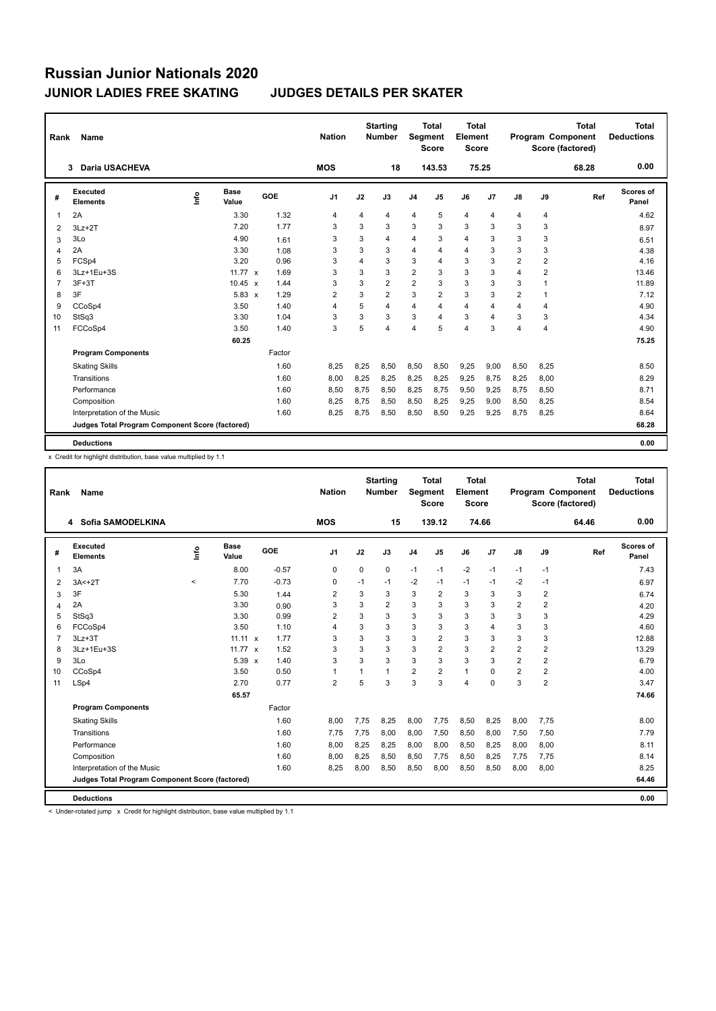| Rank           | Name                                            |      |                      |        | <b>Nation</b>  |      | <b>Starting</b><br><b>Number</b> | Segment        | <b>Total</b><br><b>Score</b> | <b>Total</b><br>Element<br><b>Score</b> |                         |                |                         | <b>Total</b><br>Program Component<br>Score (factored) | <b>Total</b><br><b>Deductions</b> |
|----------------|-------------------------------------------------|------|----------------------|--------|----------------|------|----------------------------------|----------------|------------------------------|-----------------------------------------|-------------------------|----------------|-------------------------|-------------------------------------------------------|-----------------------------------|
|                | Daria USACHEVA<br>3                             |      |                      |        | <b>MOS</b>     |      | 18                               |                | 143.53                       | 75.25                                   |                         |                |                         | 68.28                                                 | 0.00                              |
| #              | Executed<br><b>Elements</b>                     | ١nf٥ | <b>Base</b><br>Value | GOE    | J <sub>1</sub> | J2   | J3                               | J <sub>4</sub> | J <sub>5</sub>               | J6                                      | J7                      | J8             | J9                      | Ref                                                   | Scores of<br>Panel                |
| 1              | 2A                                              |      | 3.30                 | 1.32   | $\overline{4}$ | 4    | 4                                | 4              | 5                            | 4                                       | 4                       | 4              | 4                       |                                                       | 4.62                              |
| 2              | $3Lz + 2T$                                      |      | 7.20                 | 1.77   | 3              | 3    | 3                                | 3              | 3                            | 3                                       | 3                       | 3              | 3                       |                                                       | 8.97                              |
| 3              | 3Lo                                             |      | 4.90                 | 1.61   | 3              | 3    | 4                                | 4              | 3                            | 4                                       | 3                       | 3              | 3                       |                                                       | 6.51                              |
| 4              | 2A                                              |      | 3.30                 | 1.08   | 3              | 3    | 3                                | 4              | 4                            | 4                                       | 3                       | 3              | 3                       |                                                       | 4.38                              |
| 5              | FCSp4                                           |      | 3.20                 | 0.96   | 3              | 4    | 3                                | 3              | 4                            | 3                                       | 3                       | $\overline{2}$ | $\overline{\mathbf{c}}$ |                                                       | 4.16                              |
| 6              | 3Lz+1Eu+3S                                      |      | 11.77 $\times$       | 1.69   | 3              | 3    | 3                                | $\overline{2}$ | 3                            | 3                                       | 3                       | 4              | $\overline{\mathbf{c}}$ |                                                       | 13.46                             |
| $\overline{7}$ | $3F+3T$                                         |      | $10.45 \times$       | 1.44   | 3              | 3    | $\overline{2}$                   | $\overline{2}$ | 3                            | 3                                       | 3                       | 3              | 1                       |                                                       | 11.89                             |
| 8              | 3F                                              |      | $5.83 \times$        | 1.29   | $\overline{2}$ | 3    | $\overline{2}$                   | 3              | $\overline{2}$               | 3                                       | 3                       | $\overline{2}$ | 1                       |                                                       | 7.12                              |
| 9              | CCoSp4                                          |      | 3.50                 | 1.40   | $\overline{4}$ | 5    | 4                                | 4              | $\overline{4}$               | 4                                       | $\overline{4}$          | 4              | $\overline{\mathbf{4}}$ |                                                       | 4.90                              |
| 10             | StSq3                                           |      | 3.30                 | 1.04   | 3              | 3    | 3                                | 3              | 4                            | 3                                       | $\overline{\mathbf{A}}$ | 3              | 3                       |                                                       | 4.34                              |
| 11             | FCCoSp4                                         |      | 3.50                 | 1.40   | 3              | 5    | 4                                | 4              | 5                            | 4                                       | 3                       | 4              | $\overline{4}$          |                                                       | 4.90                              |
|                |                                                 |      | 60.25                |        |                |      |                                  |                |                              |                                         |                         |                |                         |                                                       | 75.25                             |
|                | <b>Program Components</b>                       |      |                      | Factor |                |      |                                  |                |                              |                                         |                         |                |                         |                                                       |                                   |
|                | <b>Skating Skills</b>                           |      |                      | 1.60   | 8,25           | 8,25 | 8,50                             | 8,50           | 8,50                         | 9,25                                    | 9,00                    | 8,50           | 8,25                    |                                                       | 8.50                              |
|                | Transitions                                     |      |                      | 1.60   | 8,00           | 8,25 | 8.25                             | 8,25           | 8.25                         | 9,25                                    | 8.75                    | 8.25           | 8,00                    |                                                       | 8.29                              |
|                | Performance                                     |      |                      | 1.60   | 8,50           | 8,75 | 8,50                             | 8,25           | 8,75                         | 9,50                                    | 9,25                    | 8.75           | 8,50                    |                                                       | 8.71                              |
|                | Composition                                     |      |                      | 1.60   | 8,25           | 8,75 | 8,50                             | 8,50           | 8,25                         | 9,25                                    | 9,00                    | 8.50           | 8,25                    |                                                       | 8.54                              |
|                | Interpretation of the Music                     |      |                      | 1.60   | 8.25           | 8,75 | 8,50                             | 8,50           | 8,50                         | 9.25                                    | 9,25                    | 8.75           | 8,25                    |                                                       | 8.64                              |
|                | Judges Total Program Component Score (factored) |      |                      |        |                |      |                                  |                |                              |                                         |                         |                |                         |                                                       | 68.28                             |
|                | <b>Deductions</b>                               |      |                      |        |                |      |                                  |                |                              |                                         |                         |                |                         |                                                       | 0.00                              |

x Credit for highlight distribution, base value multiplied by 1.1

| Rank | Name                                            |         |                |         | <b>Nation</b>  |             | <b>Starting</b><br><b>Number</b> | Segment        | <b>Total</b><br><b>Score</b> | <b>Total</b><br>Element<br><b>Score</b> |                |                |                         | Total<br>Program Component<br>Score (factored) | <b>Total</b><br><b>Deductions</b> |
|------|-------------------------------------------------|---------|----------------|---------|----------------|-------------|----------------------------------|----------------|------------------------------|-----------------------------------------|----------------|----------------|-------------------------|------------------------------------------------|-----------------------------------|
|      | 4 Sofia SAMODELKINA                             |         |                |         | <b>MOS</b>     |             | 15                               |                | 139.12                       | 74.66                                   |                |                |                         | 64.46                                          | 0.00                              |
| #    | Executed<br><b>Elements</b>                     | Info    | Base<br>Value  | GOE     | J <sub>1</sub> | J2          | J3                               | J <sub>4</sub> | J <sub>5</sub>               | J6                                      | J7             | $\mathsf{J}8$  | J9                      | Ref                                            | Scores of<br>Panel                |
| 1    | 3A                                              |         | 8.00           | $-0.57$ | 0              | $\mathbf 0$ | 0                                | $-1$           | $-1$                         | $-2$                                    | $-1$           | $-1$           | $-1$                    |                                                | 7.43                              |
| 2    | $3A < +2T$                                      | $\prec$ | 7.70           | $-0.73$ | 0              | $-1$        | $-1$                             | $-2$           | $-1$                         | $-1$                                    | $-1$           | $-2$           | $-1$                    |                                                | 6.97                              |
| 3    | 3F                                              |         | 5.30           | 1.44    | 2              | 3           | 3                                | 3              | 2                            | 3                                       | 3              | 3              | $\overline{2}$          |                                                | 6.74                              |
| 4    | 2A                                              |         | 3.30           | 0.90    | 3              | 3           | $\overline{2}$                   | 3              | 3                            | 3                                       | 3              | $\overline{2}$ | $\overline{\mathbf{c}}$ |                                                | 4.20                              |
| 5    | StSq3                                           |         | 3.30           | 0.99    | $\overline{2}$ | 3           | 3                                | 3              | 3                            | 3                                       | 3              | 3              | 3                       |                                                | 4.29                              |
| 6    | FCCoSp4                                         |         | 3.50           | 1.10    | $\overline{4}$ | 3           | 3                                | 3              | 3                            | 3                                       | $\overline{4}$ | 3              | 3                       |                                                | 4.60                              |
| 7    | $3Lz + 3T$                                      |         | $11.11 \times$ | 1.77    | 3              | 3           | 3                                | 3              | $\overline{2}$               | 3                                       | 3              | 3              | 3                       |                                                | 12.88                             |
| 8    | 3Lz+1Eu+3S                                      |         | 11.77 $x$      | 1.52    | 3              | 3           | 3                                | 3              | $\overline{2}$               | 3                                       | $\overline{2}$ | $\overline{2}$ | $\overline{2}$          |                                                | 13.29                             |
| 9    | 3Lo                                             |         | 5.39 x         | 1.40    | 3              | 3           | 3                                | 3              | 3                            | 3                                       | 3              | $\overline{2}$ | $\overline{2}$          |                                                | 6.79                              |
| 10   | CCoSp4                                          |         | 3.50           | 0.50    | 1              |             | $\mathbf{1}$                     | $\overline{2}$ | $\overline{2}$               | $\mathbf{1}$                            | $\mathbf 0$    | $\overline{2}$ | $\overline{\mathbf{c}}$ |                                                | 4.00                              |
| 11   | LSp4                                            |         | 2.70           | 0.77    | $\overline{2}$ | 5           | 3                                | 3              | 3                            | 4                                       | $\mathbf 0$    | 3              | $\overline{2}$          |                                                | 3.47                              |
|      |                                                 |         | 65.57          |         |                |             |                                  |                |                              |                                         |                |                |                         |                                                | 74.66                             |
|      | <b>Program Components</b>                       |         |                | Factor  |                |             |                                  |                |                              |                                         |                |                |                         |                                                |                                   |
|      | <b>Skating Skills</b>                           |         |                | 1.60    | 8,00           | 7,75        | 8,25                             | 8,00           | 7,75                         | 8,50                                    | 8,25           | 8,00           | 7,75                    |                                                | 8.00                              |
|      | Transitions                                     |         |                | 1.60    | 7.75           | 7,75        | 8.00                             | 8,00           | 7,50                         | 8,50                                    | 8,00           | 7,50           | 7,50                    |                                                | 7.79                              |
|      | Performance                                     |         |                | 1.60    | 8,00           | 8,25        | 8,25                             | 8,00           | 8,00                         | 8,50                                    | 8,25           | 8,00           | 8,00                    |                                                | 8.11                              |
|      | Composition                                     |         |                | 1.60    | 8,00           | 8,25        | 8,50                             | 8,50           | 7,75                         | 8,50                                    | 8,25           | 7,75           | 7,75                    |                                                | 8.14                              |
|      | Interpretation of the Music                     |         |                | 1.60    | 8,25           | 8,00        | 8,50                             | 8,50           | 8,00                         | 8,50                                    | 8,50           | 8.00           | 8,00                    |                                                | 8.25                              |
|      | Judges Total Program Component Score (factored) |         |                |         |                |             |                                  |                |                              |                                         |                |                |                         |                                                | 64.46                             |
|      | <b>Deductions</b>                               |         |                |         |                |             |                                  |                |                              |                                         |                |                |                         |                                                | 0.00                              |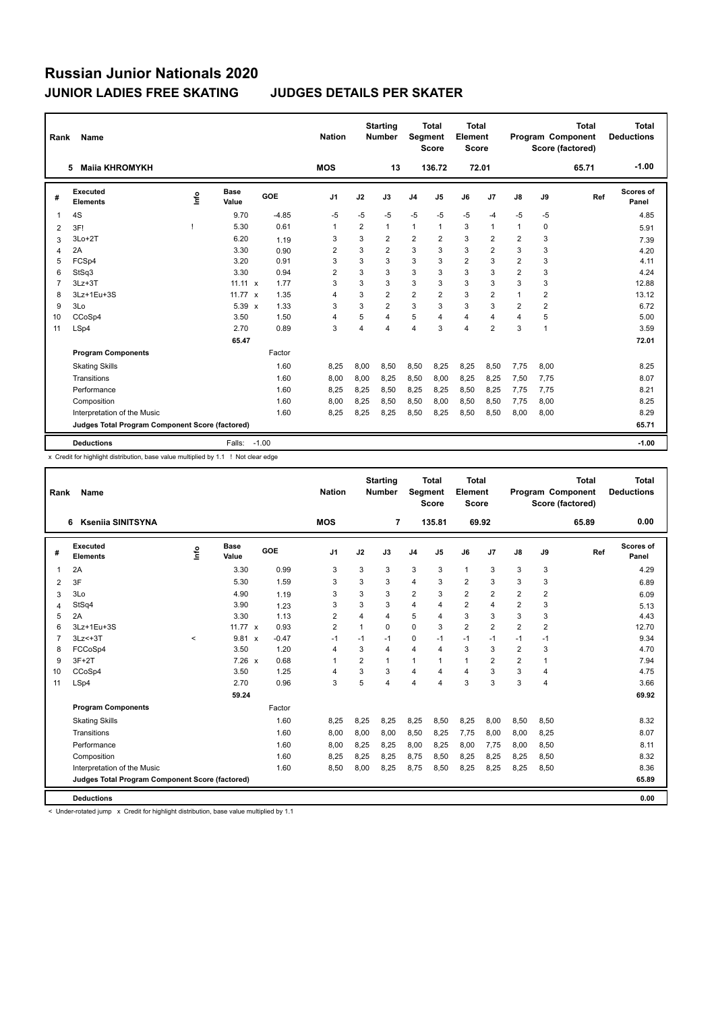| Rank | Name                                            |      |                      |         |         | <b>Nation</b>  |                | <b>Starting</b><br><b>Number</b> | <b>Segment</b> | <b>Total</b><br><b>Score</b> | <b>Total</b><br>Element<br><b>Score</b> |                |                |                | <b>Total</b><br>Program Component<br>Score (factored) | <b>Total</b><br><b>Deductions</b> |
|------|-------------------------------------------------|------|----------------------|---------|---------|----------------|----------------|----------------------------------|----------------|------------------------------|-----------------------------------------|----------------|----------------|----------------|-------------------------------------------------------|-----------------------------------|
|      | <b>Maila KHROMYKH</b><br>5                      |      |                      |         |         | <b>MOS</b>     |                | 13                               |                | 136.72                       | 72.01                                   |                |                |                | 65.71                                                 | $-1.00$                           |
| #    | Executed<br><b>Elements</b>                     | ١nf٥ | <b>Base</b><br>Value | GOE     |         | J <sub>1</sub> | J2             | J3                               | J <sub>4</sub> | J5                           | J6                                      | J7             | J8             | J9             | Ref                                                   | <b>Scores of</b><br>Panel         |
| 1    | 4S                                              |      | 9.70                 |         | $-4.85$ | $-5$           | $-5$           | $-5$                             | $-5$           | $-5$                         | $-5$                                    | $-4$           | $-5$           | $-5$           |                                                       | 4.85                              |
| 2    | 3F!                                             |      | 5.30                 |         | 0.61    | 1              | $\overline{2}$ | 1                                | $\mathbf{1}$   | 1                            | 3                                       | $\mathbf{1}$   | 1              | 0              |                                                       | 5.91                              |
| 3    | $3Lo+2T$                                        |      | 6.20                 |         | 1.19    | 3              | 3              | $\overline{2}$                   | $\overline{2}$ | $\overline{2}$               | 3                                       | $\overline{2}$ | $\overline{2}$ | 3              |                                                       | 7.39                              |
| 4    | 2A                                              |      | 3.30                 |         | 0.90    | $\overline{2}$ | 3              | $\overline{2}$                   | 3              | 3                            | 3                                       | $\overline{2}$ | 3              | 3              |                                                       | 4.20                              |
| 5    | FCSp4                                           |      | 3.20                 |         | 0.91    | 3              | 3              | 3                                | 3              | 3                            | $\overline{2}$                          | 3              | $\overline{2}$ | 3              |                                                       | 4.11                              |
| 6    | StSq3                                           |      | 3.30                 |         | 0.94    | $\overline{2}$ | 3              | 3                                | 3              | 3                            | 3                                       | 3              | $\overline{2}$ | 3              |                                                       | 4.24                              |
| 7    | $3Lz + 3T$                                      |      | $11.11 \times$       |         | 1.77    | 3              | 3              | 3                                | 3              | 3                            | 3                                       | 3              | 3              | 3              |                                                       | 12.88                             |
| 8    | 3Lz+1Eu+3S                                      |      | 11.77 $\times$       |         | 1.35    | 4              | 3              | $\overline{2}$                   | $\overline{2}$ | $\overline{2}$               | 3                                       | $\overline{2}$ | 1              | 2              |                                                       | 13.12                             |
| 9    | 3Lo                                             |      | $5.39 \times$        |         | 1.33    | 3              | 3              | $\overline{2}$                   | 3              | 3                            | 3                                       | 3              | $\overline{2}$ | $\overline{2}$ |                                                       | 6.72                              |
| 10   | CCoSp4                                          |      | 3.50                 |         | 1.50    | $\overline{4}$ | 5              | 4                                | 5              | 4                            | 4                                       | $\overline{4}$ | 4              | 5              |                                                       | 5.00                              |
| 11   | LSp4                                            |      | 2.70                 |         | 0.89    | 3              | 4              | 4                                | 4              | 3                            | 4                                       | $\overline{2}$ | 3              | 1              |                                                       | 3.59                              |
|      |                                                 |      | 65.47                |         |         |                |                |                                  |                |                              |                                         |                |                |                |                                                       | 72.01                             |
|      | <b>Program Components</b>                       |      |                      |         | Factor  |                |                |                                  |                |                              |                                         |                |                |                |                                                       |                                   |
|      | <b>Skating Skills</b>                           |      |                      |         | 1.60    | 8,25           | 8,00           | 8,50                             | 8,50           | 8,25                         | 8,25                                    | 8,50           | 7,75           | 8,00           |                                                       | 8.25                              |
|      | Transitions                                     |      |                      |         | 1.60    | 8,00           | 8,00           | 8,25                             | 8,50           | 8,00                         | 8,25                                    | 8,25           | 7,50           | 7,75           |                                                       | 8.07                              |
|      | Performance                                     |      |                      |         | 1.60    | 8,25           | 8,25           | 8,50                             | 8,25           | 8,25                         | 8,50                                    | 8,25           | 7,75           | 7,75           |                                                       | 8.21                              |
|      | Composition                                     |      |                      |         | 1.60    | 8,00           | 8,25           | 8,50                             | 8,50           | 8,00                         | 8,50                                    | 8,50           | 7,75           | 8,00           |                                                       | 8.25                              |
|      | Interpretation of the Music                     |      |                      |         | 1.60    | 8,25           | 8,25           | 8,25                             | 8,50           | 8,25                         | 8,50                                    | 8,50           | 8,00           | 8,00           |                                                       | 8.29                              |
|      | Judges Total Program Component Score (factored) |      |                      |         |         |                |                |                                  |                |                              |                                         |                |                |                |                                                       | 65.71                             |
|      | <b>Deductions</b>                               |      | Falls:               | $-1.00$ |         |                |                |                                  |                |                              |                                         |                |                |                |                                                       | $-1.00$                           |

x Credit for highlight distribution, base value multiplied by 1.1 ! Not clear edge

| Rank           | <b>Name</b>                                     |         |                      |         | <b>Nation</b>  |                | <b>Starting</b><br><b>Number</b> | <b>Segment</b> | <b>Total</b><br><b>Score</b> | <b>Total</b><br>Element<br><b>Score</b> |                |                |                | <b>Total</b><br>Program Component<br>Score (factored) | <b>Total</b><br><b>Deductions</b> |
|----------------|-------------------------------------------------|---------|----------------------|---------|----------------|----------------|----------------------------------|----------------|------------------------------|-----------------------------------------|----------------|----------------|----------------|-------------------------------------------------------|-----------------------------------|
|                | <b>Ksenija SINITSYNA</b><br>6                   |         |                      |         | <b>MOS</b>     |                | 7                                |                | 135.81                       | 69.92                                   |                |                |                | 65.89                                                 | 0.00                              |
| #              | Executed<br><b>Elements</b>                     | Info    | <b>Base</b><br>Value | GOE     | J <sub>1</sub> | J2             | J3                               | J <sub>4</sub> | J5                           | J6                                      | J7             | $\mathsf{J}8$  | J9             | Ref                                                   | Scores of<br>Panel                |
| $\overline{1}$ | 2A                                              |         | 3.30                 | 0.99    | 3              | 3              | 3                                | 3              | 3                            | $\mathbf{1}$                            | 3              | 3              | 3              |                                                       | 4.29                              |
| 2              | 3F                                              |         | 5.30                 | 1.59    | 3              | 3              | 3                                | 4              | 3                            | $\overline{2}$                          | 3              | 3              | 3              |                                                       | 6.89                              |
| 3              | 3Lo                                             |         | 4.90                 | 1.19    | 3              | 3              | 3                                | $\overline{2}$ | 3                            | $\overline{\mathbf{c}}$                 | $\overline{2}$ | $\overline{2}$ | 2              |                                                       | 6.09                              |
| $\overline{4}$ | StSq4                                           |         | 3.90                 | 1.23    | 3              | 3              | 3                                | $\overline{4}$ | 4                            | $\overline{\mathbf{c}}$                 | $\overline{4}$ | 2              | 3              |                                                       | 5.13                              |
| 5              | 2A                                              |         | 3.30                 | 1.13    | 2              | $\overline{4}$ | 4                                | 5              | 4                            | 3                                       | 3              | 3              | 3              |                                                       | 4.43                              |
| 6              | 3Lz+1Eu+3S                                      |         | 11.77 $\times$       | 0.93    | $\overline{2}$ | 1              | 0                                | $\Omega$       | 3                            | $\overline{2}$                          | $\overline{2}$ | $\overline{2}$ | $\overline{2}$ |                                                       | 12.70                             |
| $\overline{7}$ | $3Lz<+3T$                                       | $\prec$ | $9.81 \times$        | $-0.47$ | $-1$           | $-1$           | $-1$                             | $\mathbf 0$    | $-1$                         | $-1$                                    | $-1$           | $-1$           | $-1$           |                                                       | 9.34                              |
| 8              | FCCoSp4                                         |         | 3.50                 | 1.20    | 4              | 3              | 4                                | $\overline{4}$ | 4                            | 3                                       | 3              | 2              | 3              |                                                       | 4.70                              |
| 9              | $3F+2T$                                         |         | $7.26 \times$        | 0.68    | 1              | 2              | $\mathbf{1}$                     | $\mathbf{1}$   | 1                            | $\mathbf{1}$                            | $\overline{2}$ | 2              | 1              |                                                       | 7.94                              |
| 10             | CCoSp4                                          |         | 3.50                 | 1.25    | $\overline{4}$ | 3              | 3                                | $\overline{4}$ | 4                            | $\overline{4}$                          | 3              | 3              | 4              |                                                       | 4.75                              |
| 11             | LSp4                                            |         | 2.70                 | 0.96    | 3              | 5              | $\overline{\mathbf{4}}$          | $\overline{4}$ | 4                            | 3                                       | 3              | 3              | 4              |                                                       | 3.66                              |
|                |                                                 |         | 59.24                |         |                |                |                                  |                |                              |                                         |                |                |                |                                                       | 69.92                             |
|                | <b>Program Components</b>                       |         |                      | Factor  |                |                |                                  |                |                              |                                         |                |                |                |                                                       |                                   |
|                | <b>Skating Skills</b>                           |         |                      | 1.60    | 8,25           | 8,25           | 8,25                             | 8,25           | 8,50                         | 8,25                                    | 8,00           | 8,50           | 8,50           |                                                       | 8.32                              |
|                | Transitions                                     |         |                      | 1.60    | 8,00           | 8,00           | 8.00                             | 8,50           | 8,25                         | 7,75                                    | 8,00           | 8.00           | 8,25           |                                                       | 8.07                              |
|                | Performance                                     |         |                      | 1.60    | 8,00           | 8,25           | 8,25                             | 8,00           | 8,25                         | 8,00                                    | 7,75           | 8.00           | 8,50           |                                                       | 8.11                              |
|                | Composition                                     |         |                      | 1.60    | 8,25           | 8,25           | 8,25                             | 8,75           | 8,50                         | 8,25                                    | 8,25           | 8,25           | 8,50           |                                                       | 8.32                              |
|                | Interpretation of the Music                     |         |                      | 1.60    | 8,50           | 8,00           | 8,25                             | 8,75           | 8,50                         | 8,25                                    | 8,25           | 8,25           | 8,50           |                                                       | 8.36                              |
|                | Judges Total Program Component Score (factored) |         |                      |         |                |                |                                  |                |                              |                                         |                |                |                |                                                       | 65.89                             |
|                | <b>Deductions</b>                               |         |                      |         |                |                |                                  |                |                              |                                         |                |                |                |                                                       | 0.00                              |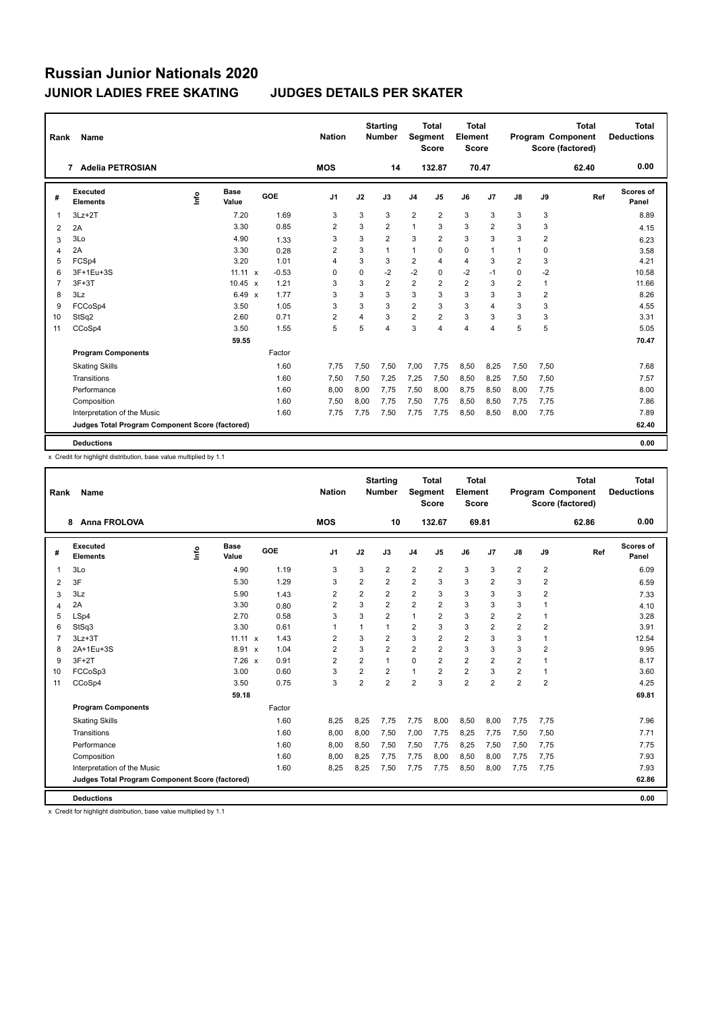| Rank                   | Name                                            |    |                      |         | <b>Nation</b>  |             | <b>Starting</b><br><b>Number</b> |                         | <b>Total</b><br><b>Segment</b><br><b>Score</b> | <b>Total</b><br>Element<br><b>Score</b> |                |                |                | <b>Total</b><br><b>Program Component</b><br>Score (factored) | <b>Total</b><br><b>Deductions</b> |
|------------------------|-------------------------------------------------|----|----------------------|---------|----------------|-------------|----------------------------------|-------------------------|------------------------------------------------|-----------------------------------------|----------------|----------------|----------------|--------------------------------------------------------------|-----------------------------------|
|                        | <b>Adelia PETROSIAN</b><br>7                    |    |                      |         | <b>MOS</b>     |             | 14                               |                         | 132.87                                         |                                         | 70.47          |                |                | 62.40                                                        | 0.00                              |
| #                      | <b>Executed</b><br><b>Elements</b>              | ۴ů | <b>Base</b><br>Value | GOE     | J <sub>1</sub> | J2          | J3                               | J <sub>4</sub>          | J5                                             | J6                                      | J7             | J8             | J9             | Ref                                                          | Scores of<br>Panel                |
|                        | $3Lz + 2T$                                      |    | 7.20                 | 1.69    | 3              | 3           | 3                                | $\overline{\mathbf{c}}$ | $\overline{2}$                                 | 3                                       | 3              | 3              | 3              |                                                              | 8.89                              |
| 2                      | 2A                                              |    | 3.30                 | 0.85    | 2              | 3           | $\overline{2}$                   | $\mathbf{1}$            | 3                                              | 3                                       | $\overline{2}$ | 3              | 3              |                                                              | 4.15                              |
| 3                      | 3Lo                                             |    | 4.90                 | 1.33    | 3              | 3           | $\overline{2}$                   | 3                       | $\overline{2}$                                 | 3                                       | 3              | 3              | $\overline{2}$ |                                                              | 6.23                              |
| $\boldsymbol{\Lambda}$ | 2A                                              |    | 3.30                 | 0.28    | 2              | 3           | $\mathbf{1}$                     | $\mathbf{1}$            | 0                                              | 0                                       | 1              | $\mathbf{1}$   | 0              |                                                              | 3.58                              |
| 5                      | FCSp4                                           |    | 3.20                 | 1.01    | 4              | 3           | 3                                | $\overline{2}$          | 4                                              | $\overline{4}$                          | 3              | $\overline{2}$ | 3              |                                                              | 4.21                              |
| 6                      | 3F+1Eu+3S                                       |    | $11.11 \times$       | $-0.53$ | $\Omega$       | $\mathbf 0$ | $-2$                             | $-2$                    | 0                                              | $-2$                                    | $-1$           | $\Omega$       | $-2$           |                                                              | 10.58                             |
| 7                      | $3F+3T$                                         |    | $10.45 \times$       | 1.21    | 3              | 3           | $\overline{2}$                   | $\overline{\mathbf{c}}$ | $\overline{2}$                                 | $\overline{2}$                          | 3              | 2              | $\mathbf{1}$   |                                                              | 11.66                             |
| 8                      | 3Lz                                             |    | $6.49 \times$        | 1.77    | 3              | 3           | 3                                | 3                       | 3                                              | 3                                       | 3              | 3              | $\overline{2}$ |                                                              | 8.26                              |
| 9                      | FCCoSp4                                         |    | 3.50                 | 1.05    | 3              | 3           | 3                                | $\overline{2}$          | 3                                              | 3                                       | 4              | 3              | 3              |                                                              | 4.55                              |
| 10                     | StSq2                                           |    | 2.60                 | 0.71    | $\overline{2}$ | 4           | 3                                | $\overline{2}$          | $\overline{2}$                                 | 3                                       | 3              | 3              | 3              |                                                              | 3.31                              |
| 11                     | CCoSp4                                          |    | 3.50                 | 1.55    | 5              | 5           | 4                                | 3                       | 4                                              | $\overline{4}$                          | 4              | 5              | 5              |                                                              | 5.05                              |
|                        |                                                 |    | 59.55                |         |                |             |                                  |                         |                                                |                                         |                |                |                |                                                              | 70.47                             |
|                        | <b>Program Components</b>                       |    |                      | Factor  |                |             |                                  |                         |                                                |                                         |                |                |                |                                                              |                                   |
|                        | <b>Skating Skills</b>                           |    |                      | 1.60    | 7,75           | 7,50        | 7,50                             | 7,00                    | 7,75                                           | 8,50                                    | 8,25           | 7,50           | 7,50           |                                                              | 7.68                              |
|                        | Transitions                                     |    |                      | 1.60    | 7,50           | 7,50        | 7,25                             | 7,25                    | 7,50                                           | 8,50                                    | 8,25           | 7,50           | 7,50           |                                                              | 7.57                              |
|                        | Performance                                     |    |                      | 1.60    | 8,00           | 8,00        | 7,75                             | 7,50                    | 8,00                                           | 8,75                                    | 8,50           | 8,00           | 7,75           |                                                              | 8.00                              |
|                        | Composition                                     |    |                      | 1.60    | 7,50           | 8,00        | 7.75                             | 7,50                    | 7,75                                           | 8,50                                    | 8,50           | 7,75           | 7,75           |                                                              | 7.86                              |
|                        | Interpretation of the Music                     |    |                      | 1.60    | 7.75           | 7,75        | 7,50                             | 7,75                    | 7,75                                           | 8,50                                    | 8,50           | 8,00           | 7,75           |                                                              | 7.89                              |
|                        | Judges Total Program Component Score (factored) |    |                      |         |                |             |                                  |                         |                                                |                                         |                |                |                |                                                              | 62.40                             |
|                        | <b>Deductions</b>                               |    |                      |         |                |             |                                  |                         |                                                |                                         |                |                |                |                                                              | 0.00                              |

x Credit for highlight distribution, base value multiplied by 1.1

| Rank           | Name                                            |      |                      |            | <b>Nation</b>  |                | <b>Starting</b><br><b>Number</b> | Segment                 | Total<br><b>Score</b> | <b>Total</b><br>Element<br><b>Score</b> |                |                         |                | <b>Total</b><br>Program Component<br>Score (factored) | <b>Total</b><br><b>Deductions</b> |
|----------------|-------------------------------------------------|------|----------------------|------------|----------------|----------------|----------------------------------|-------------------------|-----------------------|-----------------------------------------|----------------|-------------------------|----------------|-------------------------------------------------------|-----------------------------------|
|                | <b>Anna FROLOVA</b><br>8                        |      |                      |            | <b>MOS</b>     |                | 10                               |                         | 132.67                | 69.81                                   |                |                         |                | 62.86                                                 | 0.00                              |
| #              | Executed<br><b>Elements</b>                     | Info | <b>Base</b><br>Value | <b>GOE</b> | J <sub>1</sub> | J2             | J3                               | J <sub>4</sub>          | J5                    | J6                                      | J7             | J8                      | J9             | Ref                                                   | Scores of<br>Panel                |
| 1              | 3Lo                                             |      | 4.90                 | 1.19       | 3              | 3              | $\overline{2}$                   | $\overline{2}$          | $\overline{2}$        | 3                                       | 3              | $\overline{\mathbf{c}}$ | 2              |                                                       | 6.09                              |
| 2              | 3F                                              |      | 5.30                 | 1.29       | 3              | 2              | 2                                | $\overline{\mathbf{c}}$ | 3                     | 3                                       | $\overline{2}$ | 3                       | 2              |                                                       | 6.59                              |
| 3              | 3Lz                                             |      | 5.90                 | 1.43       | 2              | $\overline{2}$ | 2                                | $\overline{2}$          | 3                     | 3                                       | 3              | 3                       | 2              |                                                       | 7.33                              |
| $\overline{4}$ | 2A                                              |      | 3.30                 | 0.80       | $\overline{2}$ | 3              | $\overline{2}$                   | $\overline{2}$          | $\overline{2}$        | 3                                       | 3              | 3                       | 1              |                                                       | 4.10                              |
| 5              | LSp4                                            |      | 2.70                 | 0.58       | 3              | 3              | $\overline{2}$                   | $\mathbf{1}$            | 2                     | 3                                       | $\overline{2}$ | 2                       | 1              |                                                       | 3.28                              |
| 6              | StSq3                                           |      | 3.30                 | 0.61       | $\mathbf{1}$   | 1              | 1                                | $\overline{2}$          | 3                     | 3                                       | $\overline{2}$ | 2                       | $\overline{2}$ |                                                       | 3.91                              |
| $\overline{7}$ | $3Lz + 3T$                                      |      | $11.11 \times$       | 1.43       | $\overline{2}$ | 3              | $\overline{2}$                   | 3                       | $\overline{2}$        | $\overline{2}$                          | 3              | 3                       | 1              |                                                       | 12.54                             |
| 8              | 2A+1Eu+3S                                       |      | 8.91 x               | 1.04       | $\overline{2}$ | 3              | 2                                | $\overline{2}$          | 2                     | 3                                       | 3              | 3                       | 2              |                                                       | 9.95                              |
| 9              | $3F+2T$                                         |      | 7.26 x               | 0.91       | $\overline{2}$ | 2              | 1                                | $\mathbf 0$             | $\overline{2}$        | $\overline{2}$                          | $\overline{2}$ | 2                       | $\mathbf{1}$   |                                                       | 8.17                              |
| 10             | FCCoSp3                                         |      | 3.00                 | 0.60       | 3              | 2              | $\overline{2}$                   | $\mathbf{1}$            | 2                     | $\overline{2}$                          | 3              | 2                       | 1              |                                                       | 3.60                              |
| 11             | CCoSp4                                          |      | 3.50                 | 0.75       | 3              | $\overline{2}$ | $\overline{2}$                   | $\overline{2}$          | 3                     | $\overline{2}$                          | $\overline{2}$ | $\overline{2}$          | $\overline{2}$ |                                                       | 4.25                              |
|                |                                                 |      | 59.18                |            |                |                |                                  |                         |                       |                                         |                |                         |                |                                                       | 69.81                             |
|                | <b>Program Components</b>                       |      |                      | Factor     |                |                |                                  |                         |                       |                                         |                |                         |                |                                                       |                                   |
|                | <b>Skating Skills</b>                           |      |                      | 1.60       | 8,25           | 8,25           | 7,75                             | 7,75                    | 8,00                  | 8,50                                    | 8,00           | 7,75                    | 7,75           |                                                       | 7.96                              |
|                | Transitions                                     |      |                      | 1.60       | 8,00           | 8,00           | 7,50                             | 7,00                    | 7,75                  | 8,25                                    | 7,75           | 7,50                    | 7,50           |                                                       | 7.71                              |
|                | Performance                                     |      |                      | 1.60       | 8,00           | 8,50           | 7,50                             | 7,50                    | 7,75                  | 8,25                                    | 7,50           | 7,50                    | 7,75           |                                                       | 7.75                              |
|                | Composition                                     |      |                      | 1.60       | 8,00           | 8,25           | 7,75                             | 7,75                    | 8,00                  | 8,50                                    | 8,00           | 7,75                    | 7,75           |                                                       | 7.93                              |
|                | Interpretation of the Music                     |      |                      | 1.60       | 8,25           | 8,25           | 7,50                             | 7,75                    | 7,75                  | 8,50                                    | 8,00           | 7,75                    | 7,75           |                                                       | 7.93                              |
|                | Judges Total Program Component Score (factored) |      |                      |            |                |                |                                  |                         |                       |                                         |                |                         |                |                                                       | 62.86                             |
|                | <b>Deductions</b>                               |      |                      |            |                |                |                                  |                         |                       |                                         |                |                         |                |                                                       | 0.00                              |

x Credit for highlight distribution, base value multiplied by 1.1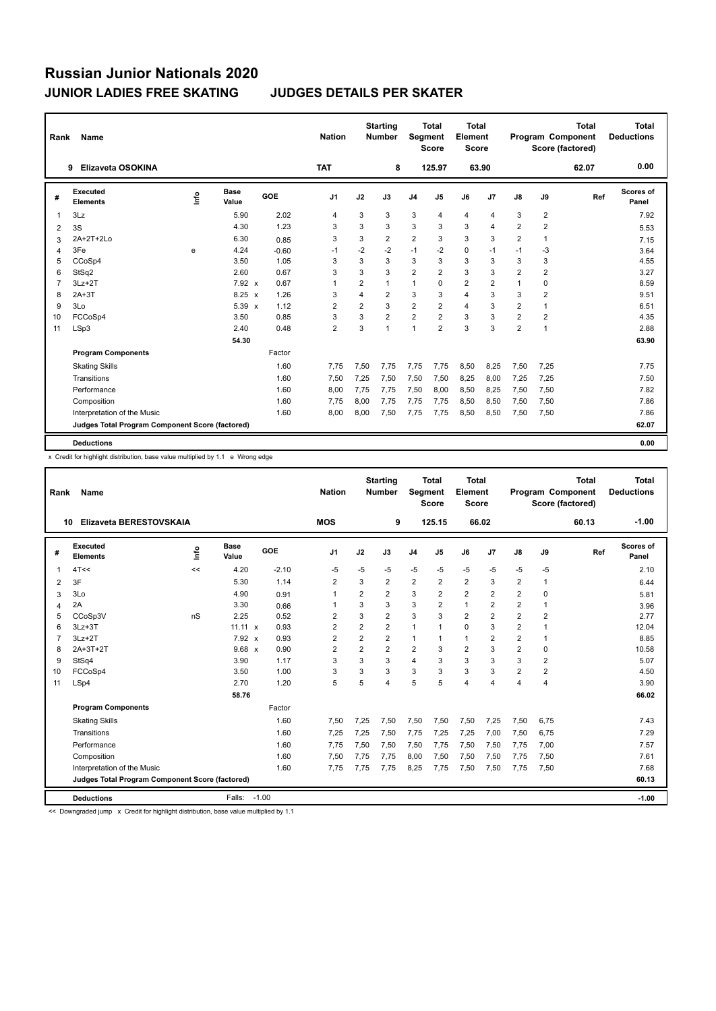| Rank | Name                                            |    |                      |         | <b>Nation</b>  |                | <b>Starting</b><br><b>Number</b> |                         | <b>Total</b><br><b>Seament</b><br><b>Score</b> | <b>Total</b><br>Element<br><b>Score</b> |                |                |                         | <b>Total</b><br>Program Component<br>Score (factored) | <b>Total</b><br><b>Deductions</b> |
|------|-------------------------------------------------|----|----------------------|---------|----------------|----------------|----------------------------------|-------------------------|------------------------------------------------|-----------------------------------------|----------------|----------------|-------------------------|-------------------------------------------------------|-----------------------------------|
|      | Elizaveta OSOKINA<br>9                          |    |                      |         | <b>TAT</b>     |                | 8                                |                         | 125.97                                         |                                         | 63.90          |                |                         | 62.07                                                 | 0.00                              |
| #    | <b>Executed</b><br><b>Elements</b>              | ۴ů | <b>Base</b><br>Value | GOE     | J <sub>1</sub> | J2             | J3                               | J <sub>4</sub>          | J <sub>5</sub>                                 | J6                                      | J <sub>7</sub> | J8             | J9                      | Ref                                                   | <b>Scores of</b><br>Panel         |
|      | 3Lz                                             |    | 5.90                 | 2.02    | 4              | 3              | 3                                | 3                       | 4                                              | 4                                       | 4              | 3              | $\overline{\mathbf{c}}$ |                                                       | 7.92                              |
| 2    | 3S                                              |    | 4.30                 | 1.23    | 3              | 3              | 3                                | 3                       | 3                                              | 3                                       | 4              | $\overline{2}$ | $\overline{2}$          |                                                       | 5.53                              |
| 3    | 2A+2T+2Lo                                       |    | 6.30                 | 0.85    | 3              | 3              | $\overline{2}$                   | $\overline{2}$          | 3                                              | 3                                       | 3              | $\overline{2}$ | $\mathbf{1}$            |                                                       | 7.15                              |
| Δ    | 3Fe                                             | e  | 4.24                 | $-0.60$ | $-1$           | $-2$           | $-2$                             | $-1$                    | $-2$                                           | $\mathbf 0$                             | $-1$           | $-1$           | $-3$                    |                                                       | 3.64                              |
| 5    | CCoSp4                                          |    | 3.50                 | 1.05    | 3              | 3              | 3                                | 3                       | 3                                              | 3                                       | 3              | 3              | 3                       |                                                       | 4.55                              |
| 6    | StSq2                                           |    | 2.60                 | 0.67    | 3              | 3              | 3                                | $\overline{2}$          | $\overline{2}$                                 | 3                                       | 3              | $\overline{2}$ | $\overline{2}$          |                                                       | 3.27                              |
|      | $3Lz + 2T$                                      |    | 7.92 x               | 0.67    | $\overline{1}$ | $\overline{2}$ | $\mathbf{1}$                     | $\mathbf{1}$            | 0                                              | $\overline{2}$                          | 2              | $\mathbf{1}$   | 0                       |                                                       | 8.59                              |
| 8    | $2A+3T$                                         |    | $8.25 \times$        | 1.26    | 3              | $\overline{4}$ | $\overline{2}$                   | 3                       | 3                                              | $\overline{4}$                          | 3              | 3              | $\overline{2}$          |                                                       | 9.51                              |
| 9    | 3Lo                                             |    | $5.39 \times$        | 1.12    | $\overline{2}$ | $\overline{2}$ | 3                                | $\overline{2}$          | $\overline{2}$                                 | $\overline{4}$                          | 3              | $\overline{2}$ | $\mathbf{1}$            |                                                       | 6.51                              |
| 10   | FCCoSp4                                         |    | 3.50                 | 0.85    | 3              | 3              | $\overline{2}$                   | $\overline{\mathbf{c}}$ | $\overline{2}$                                 | 3                                       | 3              | $\overline{2}$ | $\overline{2}$          |                                                       | 4.35                              |
| 11   | LSp3                                            |    | 2.40                 | 0.48    | $\overline{2}$ | 3              | $\overline{1}$                   | $\mathbf{1}$            | $\overline{2}$                                 | 3                                       | 3              | $\overline{2}$ | 1                       |                                                       | 2.88                              |
|      |                                                 |    | 54.30                |         |                |                |                                  |                         |                                                |                                         |                |                |                         |                                                       | 63.90                             |
|      | <b>Program Components</b>                       |    |                      | Factor  |                |                |                                  |                         |                                                |                                         |                |                |                         |                                                       |                                   |
|      | <b>Skating Skills</b>                           |    |                      | 1.60    | 7.75           | 7,50           | 7.75                             | 7,75                    | 7,75                                           | 8,50                                    | 8,25           | 7,50           | 7,25                    |                                                       | 7.75                              |
|      | Transitions                                     |    |                      | 1.60    | 7.50           | 7,25           | 7.50                             | 7,50                    | 7,50                                           | 8.25                                    | 8,00           | 7.25           | 7,25                    |                                                       | 7.50                              |
|      | Performance                                     |    |                      | 1.60    | 8,00           | 7,75           | 7.75                             | 7,50                    | 8,00                                           | 8,50                                    | 8,25           | 7,50           | 7,50                    |                                                       | 7.82                              |
|      | Composition                                     |    |                      | 1.60    | 7,75           | 8,00           | 7,75                             | 7,75                    | 7,75                                           | 8,50                                    | 8,50           | 7,50           | 7,50                    |                                                       | 7.86                              |
|      | Interpretation of the Music                     |    |                      | 1.60    | 8.00           | 8,00           | 7,50                             | 7,75                    | 7.75                                           | 8,50                                    | 8,50           | 7,50           | 7,50                    |                                                       | 7.86                              |
|      | Judges Total Program Component Score (factored) |    |                      |         |                |                |                                  |                         |                                                |                                         |                |                |                         |                                                       | 62.07                             |
|      | <b>Deductions</b>                               |    |                      |         |                |                |                                  |                         |                                                |                                         |                |                |                         |                                                       | 0.00                              |

x Credit for highlight distribution, base value multiplied by 1.1 e Wrong edge

| Rank           | Name                                            |      |                      |            | <b>Nation</b>  |                         | <b>Starting</b><br><b>Number</b> | Segment                 | <b>Total</b><br><b>Score</b> | <b>Total</b><br>Element<br><b>Score</b> |                |                |                | <b>Total</b><br>Program Component<br>Score (factored) | <b>Total</b><br><b>Deductions</b> |
|----------------|-------------------------------------------------|------|----------------------|------------|----------------|-------------------------|----------------------------------|-------------------------|------------------------------|-----------------------------------------|----------------|----------------|----------------|-------------------------------------------------------|-----------------------------------|
| 10             | Elizaveta BERESTOVSKAIA                         |      |                      |            | <b>MOS</b>     |                         | 9                                |                         | 125.15                       |                                         | 66.02          |                |                | 60.13                                                 | $-1.00$                           |
| #              | <b>Executed</b><br><b>Elements</b>              | lnfo | <b>Base</b><br>Value | <b>GOE</b> | J <sub>1</sub> | J2                      | J3                               | J <sub>4</sub>          | J <sub>5</sub>               | J6                                      | J <sub>7</sub> | J8             | J9             | Ref                                                   | Scores of<br>Panel                |
| 1              | 4T <                                            | <<   | 4.20                 | $-2.10$    | $-5$           | $-5$                    | $-5$                             | $-5$                    | $-5$                         | $-5$                                    | $-5$           | $-5$           | -5             |                                                       | 2.10                              |
| 2              | 3F                                              |      | 5.30                 | 1.14       | $\overline{2}$ | 3                       | $\overline{2}$                   | $\overline{2}$          | $\overline{2}$               | $\overline{2}$                          | 3              | $\overline{2}$ | 1              |                                                       | 6.44                              |
| 3              | 3Lo                                             |      | 4.90                 | 0.91       | $\mathbf{1}$   | $\overline{2}$          | $\overline{2}$                   | 3                       | $\overline{2}$               | $\overline{2}$                          | $\overline{2}$ | $\overline{2}$ | 0              |                                                       | 5.81                              |
| 4              | 2A                                              |      | 3.30                 | 0.66       | 1              | 3                       | 3                                | 3                       | $\overline{2}$               | $\mathbf{1}$                            | $\overline{2}$ | $\overline{2}$ | $\mathbf{1}$   |                                                       | 3.96                              |
| 5              | CCoSp3V                                         | nS   | 2.25                 | 0.52       | $\overline{2}$ | 3                       | $\overline{2}$                   | 3                       | 3                            | $\overline{2}$                          | $\overline{2}$ | $\overline{2}$ | 2              |                                                       | 2.77                              |
| 6              | $3Lz + 3T$                                      |      | $11.11 \times$       | 0.93       | $\overline{2}$ | $\overline{\mathbf{c}}$ | $\overline{2}$                   | $\mathbf{1}$            | 1                            | $\Omega$                                | 3              | $\overline{2}$ | 1              |                                                       | 12.04                             |
| $\overline{7}$ | $3Lz + 2T$                                      |      | 7.92 x               | 0.93       | $\overline{2}$ | $\overline{2}$          | $\overline{2}$                   | $\mathbf{1}$            | 1                            | $\mathbf{1}$                            | $\overline{2}$ | $\overline{2}$ | 1              |                                                       | 8.85                              |
| 8              | 2A+3T+2T                                        |      | $9.68 \times$        | 0.90       | $\overline{2}$ | $\overline{2}$          | $\overline{2}$                   | $\overline{\mathbf{c}}$ | 3                            | $\overline{2}$                          | 3              | 2              | 0              |                                                       | 10.58                             |
| 9              | StSq4                                           |      | 3.90                 | 1.17       | 3              | 3                       | 3                                | $\overline{4}$          | 3                            | 3                                       | 3              | 3              | 2              |                                                       | 5.07                              |
| 10             | FCCoSp4                                         |      | 3.50                 | 1.00       | 3              | 3                       | 3                                | 3                       | 3                            | 3                                       | 3              | $\overline{2}$ | $\overline{2}$ |                                                       | 4.50                              |
| 11             | LSp4                                            |      | 2.70                 | 1.20       | 5              | 5                       | 4                                | 5                       | 5                            | $\overline{4}$                          | 4              | 4              | $\overline{4}$ |                                                       | 3.90                              |
|                |                                                 |      | 58.76                |            |                |                         |                                  |                         |                              |                                         |                |                |                |                                                       | 66.02                             |
|                | <b>Program Components</b>                       |      |                      | Factor     |                |                         |                                  |                         |                              |                                         |                |                |                |                                                       |                                   |
|                | <b>Skating Skills</b>                           |      |                      | 1.60       | 7,50           | 7,25                    | 7,50                             | 7,50                    | 7,50                         | 7,50                                    | 7,25           | 7,50           | 6,75           |                                                       | 7.43                              |
|                | Transitions                                     |      |                      | 1.60       | 7,25           | 7,25                    | 7.50                             | 7.75                    | 7,25                         | 7,25                                    | 7,00           | 7,50           | 6,75           |                                                       | 7.29                              |
|                | Performance                                     |      |                      | 1.60       | 7,75           | 7,50                    | 7,50                             | 7,50                    | 7,75                         | 7,50                                    | 7,50           | 7.75           | 7,00           |                                                       | 7.57                              |
|                | Composition                                     |      |                      | 1.60       | 7,50           | 7,75                    | 7,75                             | 8,00                    | 7,50                         | 7,50                                    | 7,50           | 7,75           | 7,50           |                                                       | 7.61                              |
|                | Interpretation of the Music                     |      |                      | 1.60       | 7.75           | 7.75                    | 7.75                             | 8,25                    | 7,75                         | 7,50                                    | 7,50           | 7.75           | 7,50           |                                                       | 7.68                              |
|                | Judges Total Program Component Score (factored) |      |                      |            |                |                         |                                  |                         |                              |                                         |                |                |                |                                                       | 60.13                             |
|                | <b>Deductions</b>                               |      | Falls:               | $-1.00$    |                |                         |                                  |                         |                              |                                         |                |                |                |                                                       | $-1.00$                           |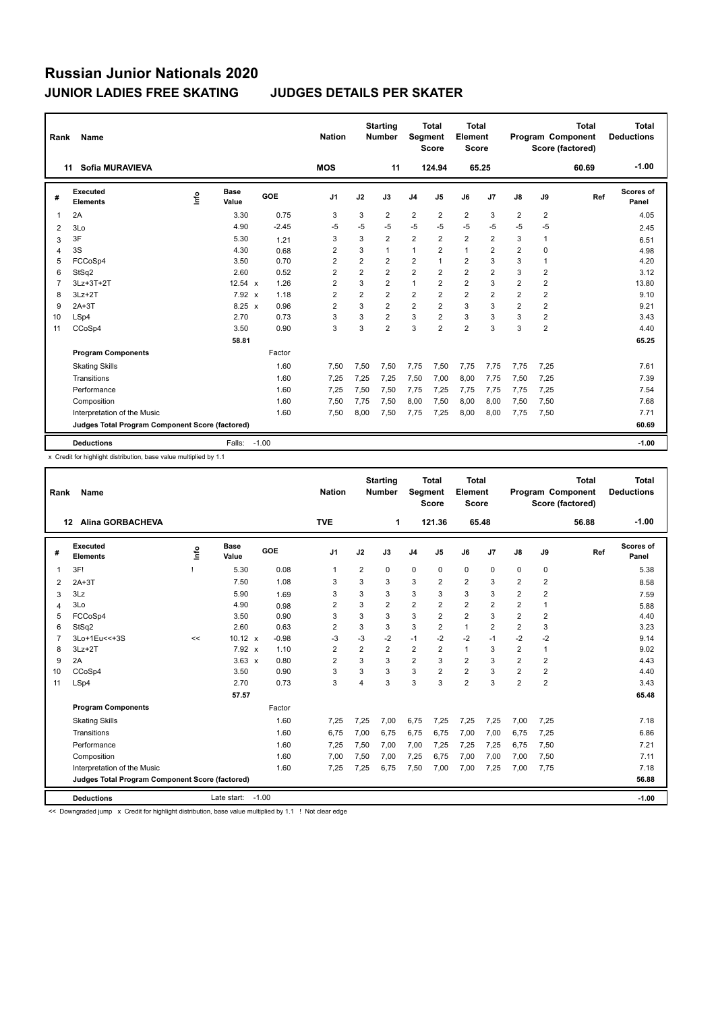| Rank           | Name                                            |      |                      |         | <b>Nation</b>  |                         | <b>Starting</b><br><b>Number</b> | <b>Segment</b> | <b>Total</b><br><b>Score</b> | <b>Total</b><br>Element<br><b>Score</b> |                |                |                         | <b>Total</b><br><b>Program Component</b><br>Score (factored) | <b>Total</b><br><b>Deductions</b> |
|----------------|-------------------------------------------------|------|----------------------|---------|----------------|-------------------------|----------------------------------|----------------|------------------------------|-----------------------------------------|----------------|----------------|-------------------------|--------------------------------------------------------------|-----------------------------------|
|                | Sofia MURAVIEVA<br>11                           |      |                      |         | <b>MOS</b>     |                         | 11                               |                | 124.94                       |                                         | 65.25          |                |                         | 60.69                                                        | $-1.00$                           |
| #              | <b>Executed</b><br><b>Elements</b>              | Info | <b>Base</b><br>Value | GOE     | J <sub>1</sub> | J2                      | J3                               | J <sub>4</sub> | J5                           | J6                                      | J7             | J8             | J9                      | Ref                                                          | <b>Scores of</b><br>Panel         |
| 1              | 2A                                              |      | 3.30                 | 0.75    | 3              | 3                       | $\overline{2}$                   | $\overline{2}$ | $\overline{2}$               | $\overline{2}$                          | 3              | $\overline{2}$ | $\overline{2}$          |                                                              | 4.05                              |
| 2              | 3Lo                                             |      | 4.90                 | $-2.45$ | $-5$           | $-5$                    | $-5$                             | $-5$           | $-5$                         | $-5$                                    | -5             | $-5$           | $-5$                    |                                                              | 2.45                              |
| 3              | 3F                                              |      | 5.30                 | 1.21    | 3              | 3                       | $\overline{2}$                   | $\overline{2}$ | $\overline{2}$               | $\overline{2}$                          | $\overline{2}$ | 3              | 1                       |                                                              | 6.51                              |
| 4              | 3S                                              |      | 4.30                 | 0.68    | $\overline{2}$ | 3                       | 1                                | $\mathbf{1}$   | $\overline{2}$               | $\mathbf{1}$                            | $\overline{2}$ | $\overline{2}$ | 0                       |                                                              | 4.98                              |
| 5              | FCCoSp4                                         |      | 3.50                 | 0.70    | $\overline{2}$ | $\overline{\mathbf{c}}$ | 2                                | 2              | 1                            | $\overline{\mathbf{c}}$                 | 3              | 3              | 1                       |                                                              | 4.20                              |
| 6              | StSq2                                           |      | 2.60                 | 0.52    | $\overline{2}$ | $\overline{2}$          | $\overline{2}$                   | $\overline{2}$ | $\overline{2}$               | $\overline{2}$                          | $\overline{2}$ | 3              | $\overline{2}$          |                                                              | 3.12                              |
| $\overline{7}$ | 3Lz+3T+2T                                       |      | 12.54 x              | 1.26    | $\overline{2}$ | 3                       | $\overline{2}$                   | $\mathbf{1}$   | $\overline{2}$               | $\overline{\mathbf{c}}$                 | 3              | $\overline{2}$ | $\overline{\mathbf{c}}$ |                                                              | 13.80                             |
| 8              | $3Lz + 2T$                                      |      | 7.92 x               | 1.18    | $\overline{2}$ | $\overline{2}$          | $\overline{2}$                   | $\overline{2}$ | $\overline{2}$               | $\overline{\mathbf{c}}$                 | $\overline{2}$ | 2              | $\overline{\mathbf{c}}$ |                                                              | 9.10                              |
| 9              | $2A+3T$                                         |      | $8.25 \times$        | 0.96    | $\overline{2}$ | 3                       | $\overline{2}$                   | $\overline{2}$ | $\overline{2}$               | 3                                       | 3              | $\overline{2}$ | $\overline{2}$          |                                                              | 9.21                              |
| 10             | LSp4                                            |      | 2.70                 | 0.73    | 3              | 3                       | $\overline{2}$                   | 3              | $\overline{2}$               | 3                                       | 3              | 3              | $\overline{\mathbf{c}}$ |                                                              | 3.43                              |
| 11             | CCoSp4                                          |      | 3.50                 | 0.90    | 3              | 3                       | $\overline{2}$                   | 3              | $\overline{2}$               | $\overline{2}$                          | 3              | 3              | $\overline{\mathbf{c}}$ |                                                              | 4.40                              |
|                |                                                 |      | 58.81                |         |                |                         |                                  |                |                              |                                         |                |                |                         |                                                              | 65.25                             |
|                | <b>Program Components</b>                       |      |                      | Factor  |                |                         |                                  |                |                              |                                         |                |                |                         |                                                              |                                   |
|                | <b>Skating Skills</b>                           |      |                      | 1.60    | 7,50           | 7,50                    | 7,50                             | 7.75           | 7,50                         | 7,75                                    | 7,75           | 7,75           | 7,25                    |                                                              | 7.61                              |
|                | Transitions                                     |      |                      | 1.60    | 7,25           | 7,25                    | 7,25                             | 7,50           | 7,00                         | 8,00                                    | 7,75           | 7,50           | 7,25                    |                                                              | 7.39                              |
|                | Performance                                     |      |                      | 1.60    | 7,25           | 7,50                    | 7,50                             | 7,75           | 7,25                         | 7,75                                    | 7,75           | 7,75           | 7,25                    |                                                              | 7.54                              |
|                | Composition                                     |      |                      | 1.60    | 7,50           | 7,75                    | 7,50                             | 8,00           | 7,50                         | 8,00                                    | 8,00           | 7,50           | 7,50                    |                                                              | 7.68                              |
|                | Interpretation of the Music                     |      |                      | 1.60    | 7,50           | 8,00                    | 7,50                             | 7,75           | 7,25                         | 8,00                                    | 8,00           | 7,75           | 7,50                    |                                                              | 7.71                              |
|                | Judges Total Program Component Score (factored) |      |                      |         |                |                         |                                  |                |                              |                                         |                |                |                         |                                                              | 60.69                             |
|                | <b>Deductions</b>                               |      | Falls:               | $-1.00$ |                |                         |                                  |                |                              |                                         |                |                |                         |                                                              | $-1.00$                           |

x Credit for highlight distribution, base value multiplied by 1.1

| Rank           | Name                                            |      |                      |         | <b>Nation</b>  |                | <b>Starting</b><br><b>Number</b> | Segment        | <b>Total</b><br><b>Score</b> | Total<br>Element<br><b>Score</b> |                |                         |                | <b>Total</b><br>Program Component<br>Score (factored) | <b>Total</b><br><b>Deductions</b> |
|----------------|-------------------------------------------------|------|----------------------|---------|----------------|----------------|----------------------------------|----------------|------------------------------|----------------------------------|----------------|-------------------------|----------------|-------------------------------------------------------|-----------------------------------|
|                | <b>Alina GORBACHEVA</b><br>12                   |      |                      |         | <b>TVE</b>     |                | 1                                |                | 121.36                       | 65.48                            |                |                         |                | 56.88                                                 | $-1.00$                           |
| #              | Executed<br><b>Elements</b>                     | ١nf٥ | <b>Base</b><br>Value | GOE     | J1             | J2             | J3                               | J <sub>4</sub> | J5                           | J6                               | J7             | $\mathsf{J}8$           | J9             | Ref                                                   | Scores of<br>Panel                |
| 1              | 3F!                                             |      | 5.30                 | 0.08    | 1              | 2              | 0                                | 0              | 0                            | 0                                | $\mathbf 0$    | 0                       | 0              |                                                       | 5.38                              |
| $\overline{2}$ | $2A+3T$                                         |      | 7.50                 | 1.08    | 3              | 3              | 3                                | 3              | $\overline{2}$               | $\overline{2}$                   | 3              | $\overline{2}$          | 2              |                                                       | 8.58                              |
| 3              | 3Lz                                             |      | 5.90                 | 1.69    | 3              | 3              | 3                                | 3              | 3                            | 3                                | 3              | $\overline{\mathbf{c}}$ | 2              |                                                       | 7.59                              |
| $\overline{4}$ | 3Lo                                             |      | 4.90                 | 0.98    | 2              | 3              | $\overline{2}$                   | $\overline{2}$ | $\overline{2}$               | 2                                | $\overline{2}$ | $\overline{\mathbf{c}}$ | $\mathbf{1}$   |                                                       | 5.88                              |
| 5              | FCCoSp4                                         |      | 3.50                 | 0.90    | 3              | 3              | 3                                | 3              | $\overline{2}$               | $\overline{2}$                   | 3              | $\overline{2}$          | $\overline{2}$ |                                                       | 4.40                              |
| 6              | StSq2                                           |      | 2.60                 | 0.63    | 2              | 3              | 3                                | 3              | 2                            | $\mathbf{1}$                     | $\overline{2}$ | 2                       | 3              |                                                       | 3.23                              |
| $\overline{7}$ | 3Lo+1Eu << + 3S                                 | <<   | $10.12 \times$       | $-0.98$ | -3             | $-3$           | $-2$                             | $-1$           | $-2$                         | $-2$                             | $-1$           | $-2$                    | $-2$           |                                                       | 9.14                              |
| 8              | $3Lz + 2T$                                      |      | $7.92 \times$        | 1.10    | $\overline{2}$ | $\overline{2}$ | $\overline{2}$                   | $\overline{2}$ | $\overline{2}$               | $\mathbf{1}$                     | 3              | $\overline{\mathbf{c}}$ | $\mathbf{1}$   |                                                       | 9.02                              |
| 9              | 2A                                              |      | $3.63 \times$        | 0.80    | 2              | 3              | 3                                | $\overline{2}$ | 3                            | $\overline{2}$                   | 3              | $\overline{2}$          | 2              |                                                       | 4.43                              |
| 10             | CCoSp4                                          |      | 3.50                 | 0.90    | 3              | 3              | 3                                | 3              | 2                            | 2                                | 3              | 2                       | $\overline{2}$ |                                                       | 4.40                              |
| 11             | LSp4                                            |      | 2.70                 | 0.73    | 3              | 4              | 3                                | 3              | 3                            | $\overline{2}$                   | 3              | $\overline{2}$          | $\overline{2}$ |                                                       | 3.43                              |
|                |                                                 |      | 57.57                |         |                |                |                                  |                |                              |                                  |                |                         |                |                                                       | 65.48                             |
|                | <b>Program Components</b>                       |      |                      | Factor  |                |                |                                  |                |                              |                                  |                |                         |                |                                                       |                                   |
|                | <b>Skating Skills</b>                           |      |                      | 1.60    | 7,25           | 7,25           | 7,00                             | 6,75           | 7,25                         | 7,25                             | 7,25           | 7,00                    | 7,25           |                                                       | 7.18                              |
|                | Transitions                                     |      |                      | 1.60    | 6,75           | 7,00           | 6.75                             | 6,75           | 6.75                         | 7,00                             | 7,00           | 6,75                    | 7,25           |                                                       | 6.86                              |
|                | Performance                                     |      |                      | 1.60    | 7,25           | 7,50           | 7,00                             | 7,00           | 7,25                         | 7,25                             | 7,25           | 6,75                    | 7,50           |                                                       | 7.21                              |
|                | Composition                                     |      |                      | 1.60    | 7,00           | 7,50           | 7,00                             | 7,25           | 6,75                         | 7,00                             | 7,00           | 7,00                    | 7,50           |                                                       | 7.11                              |
|                | Interpretation of the Music                     |      |                      | 1.60    | 7,25           | 7,25           | 6,75                             | 7,50           | 7,00                         | 7,00                             | 7,25           | 7,00                    | 7,75           |                                                       | 7.18                              |
|                | Judges Total Program Component Score (factored) |      |                      |         |                |                |                                  |                |                              |                                  |                |                         |                |                                                       | 56.88                             |
|                | <b>Deductions</b>                               |      | Late start: $-1.00$  |         |                |                |                                  |                |                              |                                  |                |                         |                |                                                       | $-1.00$                           |

<< Downgraded jump x Credit for highlight distribution, base value multiplied by 1.1 ! Not clear edge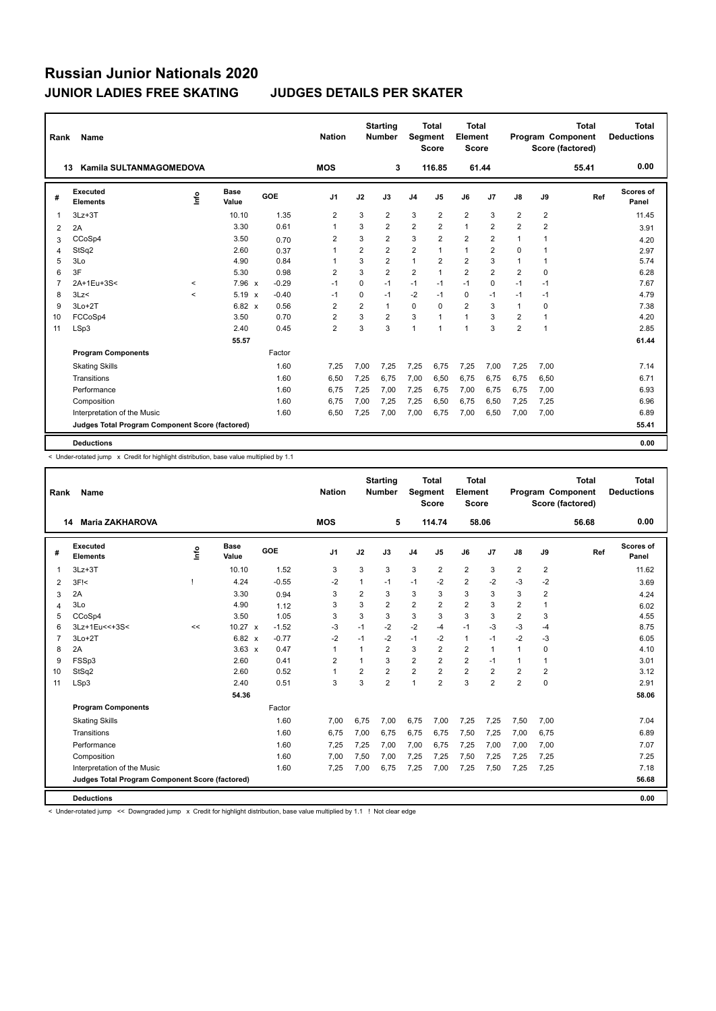| Rank           | Name                                            |         |                      |         | <b>Nation</b>  |                | <b>Starting</b><br><b>Number</b> | Segment        | <b>Total</b><br><b>Score</b> | <b>Total</b><br>Element<br><b>Score</b> |                |                |                         | <b>Total</b><br>Program Component<br>Score (factored) | <b>Total</b><br><b>Deductions</b> |
|----------------|-------------------------------------------------|---------|----------------------|---------|----------------|----------------|----------------------------------|----------------|------------------------------|-----------------------------------------|----------------|----------------|-------------------------|-------------------------------------------------------|-----------------------------------|
| 13             | Kamila SULTANMAGOMEDOVA                         |         |                      |         | <b>MOS</b>     |                | 3                                |                | 116.85                       | 61.44                                   |                |                |                         | 55.41                                                 | 0.00                              |
| #              | Executed<br><b>Elements</b>                     | Info    | <b>Base</b><br>Value | GOE     | J <sub>1</sub> | J2             | J3                               | J <sub>4</sub> | J5                           | J6                                      | J7             | $\mathsf{J}8$  | J9                      | Ref                                                   | <b>Scores of</b><br>Panel         |
| 1              | $3Lz + 3T$                                      |         | 10.10                | 1.35    | $\overline{2}$ | 3              | $\overline{\mathbf{c}}$          | 3              | $\overline{2}$               | $\overline{\mathbf{c}}$                 | 3              | 2              | $\overline{\mathbf{c}}$ |                                                       | 11.45                             |
| 2              | 2A                                              |         | 3.30                 | 0.61    | $\overline{1}$ | 3              | $\overline{2}$                   | $\overline{2}$ | $\overline{2}$               | $\mathbf{1}$                            | $\overline{2}$ | $\overline{2}$ | $\overline{2}$          |                                                       | 3.91                              |
| 3              | CCoSp4                                          |         | 3.50                 | 0.70    | 2              | 3              | $\overline{2}$                   | 3              | $\overline{2}$               | $\overline{\mathbf{c}}$                 | $\overline{2}$ | $\overline{1}$ | 1                       |                                                       | 4.20                              |
| 4              | StSq2                                           |         | 2.60                 | 0.37    | $\overline{1}$ | $\overline{2}$ | $\overline{2}$                   | $\overline{2}$ | $\mathbf{1}$                 | $\mathbf{1}$                            | $\overline{2}$ | $\Omega$       | 1                       |                                                       | 2.97                              |
| 5              | 3Lo                                             |         | 4.90                 | 0.84    | $\overline{1}$ | 3              | $\overline{2}$                   | $\mathbf{1}$   | $\overline{2}$               | $\overline{\mathbf{c}}$                 | 3              |                | 1                       |                                                       | 5.74                              |
| 6              | 3F                                              |         | 5.30                 | 0.98    | $\overline{2}$ | 3              | $\overline{2}$                   | $\overline{2}$ | $\mathbf{1}$                 | $\overline{\mathbf{c}}$                 | $\overline{2}$ | $\overline{2}$ | $\Omega$                |                                                       | 6.28                              |
| $\overline{7}$ | 2A+1Eu+3S<                                      | $\prec$ | 7.96 x               | $-0.29$ | $-1$           | 0              | $-1$                             | $-1$           | $-1$                         | $-1$                                    | $\mathbf 0$    | $-1$           | $-1$                    |                                                       | 7.67                              |
| 8              | 3Lz                                             | $\prec$ | $5.19 \times$        | $-0.40$ | $-1$           | $\Omega$       | $-1$                             | $-2$           | $-1$                         | 0                                       | $-1$           | $-1$           | $-1$                    |                                                       | 4.79                              |
| 9              | $3Lo+2T$                                        |         | 6.82 x               | 0.56    | $\overline{2}$ | $\overline{2}$ | 1                                | 0              | $\Omega$                     | $\overline{2}$                          | 3              | $\overline{1}$ | 0                       |                                                       | 7.38                              |
| 10             | FCCoSp4                                         |         | 3.50                 | 0.70    | $\overline{2}$ | 3              | $\overline{2}$                   | 3              | $\mathbf{1}$                 | $\mathbf{1}$                            | 3              | $\overline{2}$ | 1                       |                                                       | 4.20                              |
| 11             | LSp3                                            |         | 2.40                 | 0.45    | $\overline{2}$ | 3              | 3                                | 1              | $\mathbf{1}$                 | $\mathbf{1}$                            | 3              | $\overline{2}$ | $\mathbf{1}$            |                                                       | 2.85                              |
|                |                                                 |         | 55.57                |         |                |                |                                  |                |                              |                                         |                |                |                         |                                                       | 61.44                             |
|                | <b>Program Components</b>                       |         |                      | Factor  |                |                |                                  |                |                              |                                         |                |                |                         |                                                       |                                   |
|                | <b>Skating Skills</b>                           |         |                      | 1.60    | 7,25           | 7,00           | 7,25                             | 7,25           | 6,75                         | 7,25                                    | 7,00           | 7,25           | 7,00                    |                                                       | 7.14                              |
|                | Transitions                                     |         |                      | 1.60    | 6,50           | 7,25           | 6.75                             | 7,00           | 6.50                         | 6,75                                    | 6.75           | 6.75           | 6,50                    |                                                       | 6.71                              |
|                | Performance                                     |         |                      | 1.60    | 6.75           | 7,25           | 7,00                             | 7,25           | 6,75                         | 7,00                                    | 6,75           | 6.75           | 7,00                    |                                                       | 6.93                              |
|                | Composition                                     |         |                      | 1.60    | 6,75           | 7,00           | 7,25                             | 7,25           | 6,50                         | 6,75                                    | 6,50           | 7,25           | 7,25                    |                                                       | 6.96                              |
|                | Interpretation of the Music                     |         |                      | 1.60    | 6.50           | 7,25           | 7.00                             | 7,00           | 6.75                         | 7.00                                    | 6,50           | 7.00           | 7.00                    |                                                       | 6.89                              |
|                | Judges Total Program Component Score (factored) |         |                      |         |                |                |                                  |                |                              |                                         |                |                |                         |                                                       | 55.41                             |
|                | <b>Deductions</b>                               |         |                      |         |                |                |                                  |                |                              |                                         |                |                |                         |                                                       | 0.00                              |

< Under-rotated jump x Credit for highlight distribution, base value multiplied by 1.1

| Rank           | Name                                            |      |                      |         | <b>Nation</b> |                | <b>Starting</b><br><b>Number</b> | Segment        | Total<br><b>Score</b> | Total<br>Element<br><b>Score</b> |                |                |                | <b>Total</b><br>Program Component<br>Score (factored) | <b>Total</b><br><b>Deductions</b> |
|----------------|-------------------------------------------------|------|----------------------|---------|---------------|----------------|----------------------------------|----------------|-----------------------|----------------------------------|----------------|----------------|----------------|-------------------------------------------------------|-----------------------------------|
|                | <b>Maria ZAKHAROVA</b><br>14                    |      |                      |         | <b>MOS</b>    |                | 5                                |                | 114.74                | 58.06                            |                |                |                | 56.68                                                 | 0.00                              |
| #              | Executed<br><b>Elements</b>                     | ١nf٥ | <b>Base</b><br>Value | GOE     | J1            | J2             | J3                               | J <sub>4</sub> | J5                    | J6                               | J7             | J8             | J9             | Ref                                                   | <b>Scores of</b><br>Panel         |
| 1              | $3Lz + 3T$                                      |      | 10.10                | 1.52    | 3             | 3              | 3                                | 3              | $\overline{2}$        | $\overline{2}$                   | 3              | $\overline{2}$ | $\overline{2}$ |                                                       | 11.62                             |
| 2              | $3F$ $\leq$                                     |      | 4.24                 | $-0.55$ | $-2$          | 1              | $-1$                             | $-1$           | $-2$                  | $\overline{2}$                   | $-2$           | -3             | $-2$           |                                                       | 3.69                              |
| 3              | 2A                                              |      | 3.30                 | 0.94    | 3             | $\overline{2}$ | 3                                | 3              | 3                     | 3                                | 3              | 3              | $\overline{2}$ |                                                       | 4.24                              |
| $\overline{4}$ | 3Lo                                             |      | 4.90                 | 1.12    | 3             | 3              | $\overline{2}$                   | $\overline{2}$ | $\overline{2}$        | $\overline{2}$                   | 3              | $\overline{2}$ |                |                                                       | 6.02                              |
| 5              | CCoSp4                                          |      | 3.50                 | 1.05    | 3             | 3              | 3                                | 3              | 3                     | 3                                | 3              | $\overline{2}$ | 3              |                                                       | 4.55                              |
| 6              | 3Lz+1Eu<<+3S<                                   | <<   | $10.27 \times$       | $-1.52$ | $-3$          | $-1$           | $-2$                             | $-2$           | $-4$                  | $-1$                             | $-3$           | $-3$           | $-4$           |                                                       | 8.75                              |
| $\overline{7}$ | $3Lo+2T$                                        |      | 6.82 x               | $-0.77$ | $-2$          | $-1$           | $-2$                             | $-1$           | $-2$                  | $\mathbf{1}$                     | $-1$           | $-2$           | $-3$           |                                                       | 6.05                              |
| 8              | 2A                                              |      | $3.63 \times$        | 0.47    | $\mathbf{1}$  | 1              | $\overline{2}$                   | 3              | $\overline{2}$        | $\overline{2}$                   | $\mathbf{1}$   | $\mathbf{1}$   | 0              |                                                       | 4.10                              |
| 9              | FSSp3                                           |      | 2.60                 | 0.41    | 2             | 1              | 3                                | $\overline{2}$ | $\overline{2}$        | $\overline{2}$                   | $-1$           | $\mathbf{1}$   | 1              |                                                       | 3.01                              |
| 10             | StSq2                                           |      | 2.60                 | 0.52    | 1             | 2              | $\overline{2}$                   | $\overline{2}$ | $\overline{2}$        | $\overline{2}$                   | $\overline{2}$ | $\overline{2}$ | $\overline{2}$ |                                                       | 3.12                              |
| 11             | LSp3                                            |      | 2.40                 | 0.51    | 3             | 3              | $\overline{2}$                   | $\mathbf{1}$   | $\overline{2}$        | 3                                | $\overline{2}$ | $\overline{2}$ | 0              |                                                       | 2.91                              |
|                |                                                 |      | 54.36                |         |               |                |                                  |                |                       |                                  |                |                |                |                                                       | 58.06                             |
|                | <b>Program Components</b>                       |      |                      | Factor  |               |                |                                  |                |                       |                                  |                |                |                |                                                       |                                   |
|                | <b>Skating Skills</b>                           |      |                      | 1.60    | 7,00          | 6,75           | 7,00                             | 6,75           | 7.00                  | 7,25                             | 7,25           | 7,50           | 7,00           |                                                       | 7.04                              |
|                | Transitions                                     |      |                      | 1.60    | 6,75          | 7,00           | 6,75                             | 6,75           | 6,75                  | 7,50                             | 7,25           | 7,00           | 6,75           |                                                       | 6.89                              |
|                | Performance                                     |      |                      | 1.60    | 7,25          | 7.25           | 7,00                             | 7,00           | 6.75                  | 7,25                             | 7,00           | 7,00           | 7,00           |                                                       | 7.07                              |
|                | Composition                                     |      |                      | 1.60    | 7,00          | 7,50           | 7,00                             | 7,25           | 7.25                  | 7,50                             | 7,25           | 7.25           | 7,25           |                                                       | 7.25                              |
|                | Interpretation of the Music                     |      |                      | 1.60    | 7,25          | 7,00           | 6,75                             | 7,25           | 7,00                  | 7,25                             | 7,50           | 7,25           | 7,25           |                                                       | 7.18                              |
|                | Judges Total Program Component Score (factored) |      |                      |         |               |                |                                  |                |                       |                                  |                |                |                |                                                       | 56.68                             |
|                | <b>Deductions</b>                               |      |                      |         |               |                |                                  |                |                       |                                  |                |                |                |                                                       | 0.00                              |

< Under-rotated jump << Downgraded jump x Credit for highlight distribution, base value multiplied by 1.1 ! Not clear edge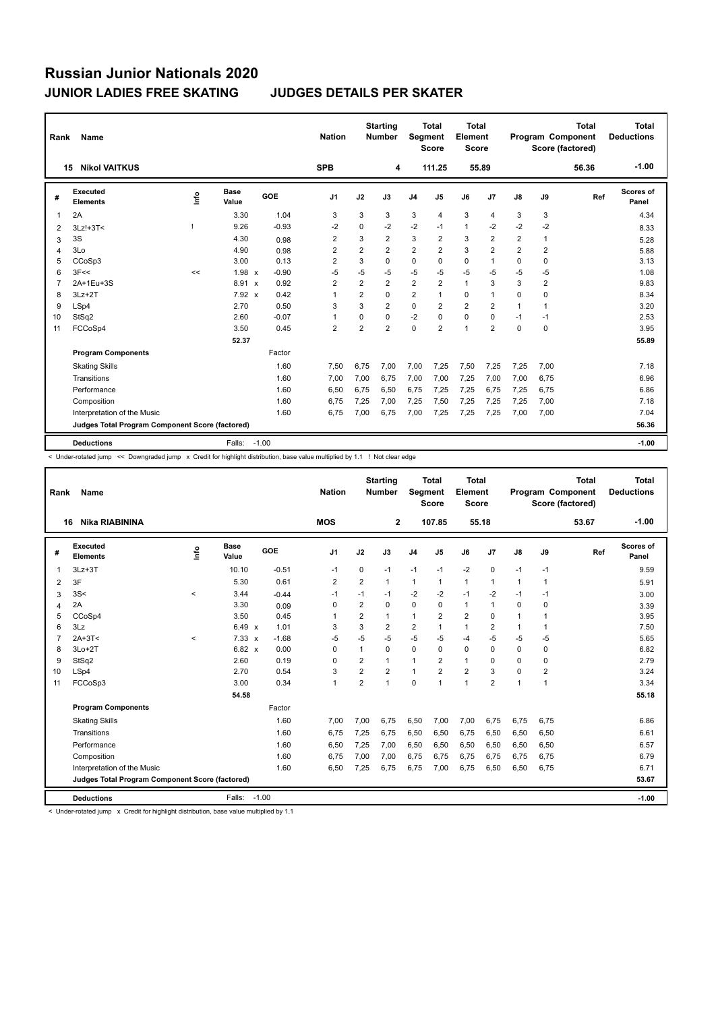| Rank | Name                                            |      |                      |         | <b>Nation</b>  |                | <b>Starting</b><br><b>Number</b> | <b>Segment</b> | Total<br><b>Score</b> | <b>Total</b><br>Element<br><b>Score</b> |                |                |                | <b>Total</b><br>Program Component<br>Score (factored) | <b>Total</b><br><b>Deductions</b> |
|------|-------------------------------------------------|------|----------------------|---------|----------------|----------------|----------------------------------|----------------|-----------------------|-----------------------------------------|----------------|----------------|----------------|-------------------------------------------------------|-----------------------------------|
|      | <b>Nikol VAITKUS</b><br>15                      |      |                      |         | <b>SPB</b>     |                | 4                                |                | 111.25                |                                         | 55.89          |                |                | 56.36                                                 | $-1.00$                           |
| #    | <b>Executed</b><br><b>Elements</b>              | ١nf٥ | <b>Base</b><br>Value | GOE     | J <sub>1</sub> | J2             | J3                               | J <sub>4</sub> | J5                    | J6                                      | J7             | $\mathsf{J}8$  | J9             | Ref                                                   | <b>Scores of</b><br>Panel         |
| 1    | 2A                                              |      | 3.30                 | 1.04    | 3              | 3              | 3                                | 3              | 4                     | 3                                       | $\overline{4}$ | 3              | 3              |                                                       | 4.34                              |
| 2    | 3Lz!+3T<                                        |      | 9.26                 | $-0.93$ | $-2$           | $\Omega$       | $-2$                             | $-2$           | $-1$                  | $\overline{1}$                          | $-2$           | $-2$           | $-2$           |                                                       | 8.33                              |
| 3    | 3S                                              |      | 4.30                 | 0.98    | 2              | 3              | $\overline{2}$                   | 3              | $\overline{2}$        | 3                                       | $\overline{2}$ | 2              | $\mathbf{1}$   |                                                       | 5.28                              |
| 4    | 3Lo                                             |      | 4.90                 | 0.98    | $\overline{2}$ | $\overline{2}$ | $\overline{2}$                   | $\overline{2}$ | $\overline{2}$        | 3                                       | $\overline{2}$ | $\overline{2}$ | $\overline{2}$ |                                                       | 5.88                              |
| 5    | CCoSp3                                          |      | 3.00                 | 0.13    | $\overline{2}$ | 3              | 0                                | 0              | 0                     | 0                                       | 1              | 0              | 0              |                                                       | 3.13                              |
| 6    | 3F<<                                            | <<   | 1.98 x               | $-0.90$ | $-5$           | $-5$           | $-5$                             | $-5$           | $-5$                  | $-5$                                    | $-5$           | -5             | -5             |                                                       | 1.08                              |
| 7    | 2A+1Eu+3S                                       |      | 8.91<br>$\mathsf{x}$ | 0.92    | $\overline{2}$ | $\overline{2}$ | $\overline{2}$                   | $\overline{2}$ | $\overline{2}$        | $\mathbf{1}$                            | 3              | 3              | 2              |                                                       | 9.83                              |
| 8    | $3Lz + 2T$                                      |      | 7.92 x               | 0.42    | 1              | $\overline{2}$ | 0                                | $\overline{2}$ | 1                     | $\mathbf 0$                             | $\mathbf{1}$   | $\Omega$       | 0              |                                                       | 8.34                              |
| 9    | LSp4                                            |      | 2.70                 | 0.50    | 3              | 3              | $\overline{2}$                   | $\mathbf 0$    | 2                     | $\overline{2}$                          | $\overline{2}$ | 1              | 1              |                                                       | 3.20                              |
| 10   | StSq2                                           |      | 2.60                 | $-0.07$ | 1              | 0              | 0                                | $-2$           | $\Omega$              | 0                                       | $\mathbf 0$    | $-1$           | $-1$           |                                                       | 2.53                              |
| 11   | FCCoSp4                                         |      | 3.50                 | 0.45    | $\overline{2}$ | $\overline{2}$ | $\overline{2}$                   | 0              | $\overline{2}$        | $\overline{1}$                          | $\overline{2}$ | 0              | 0              |                                                       | 3.95                              |
|      |                                                 |      | 52.37                |         |                |                |                                  |                |                       |                                         |                |                |                |                                                       | 55.89                             |
|      | <b>Program Components</b>                       |      |                      | Factor  |                |                |                                  |                |                       |                                         |                |                |                |                                                       |                                   |
|      | <b>Skating Skills</b>                           |      |                      | 1.60    | 7,50           | 6,75           | 7,00                             | 7,00           | 7,25                  | 7,50                                    | 7,25           | 7,25           | 7,00           |                                                       | 7.18                              |
|      | Transitions                                     |      |                      | 1.60    | 7,00           | 7,00           | 6,75                             | 7,00           | 7,00                  | 7,25                                    | 7,00           | 7,00           | 6,75           |                                                       | 6.96                              |
|      | Performance                                     |      |                      | 1.60    | 6,50           | 6.75           | 6,50                             | 6,75           | 7,25                  | 7,25                                    | 6.75           | 7,25           | 6,75           |                                                       | 6.86                              |
|      | Composition                                     |      |                      | 1.60    | 6.75           | 7,25           | 7,00                             | 7,25           | 7,50                  | 7,25                                    | 7,25           | 7,25           | 7,00           |                                                       | 7.18                              |
|      | Interpretation of the Music                     |      |                      | 1.60    | 6,75           | 7,00           | 6,75                             | 7,00           | 7,25                  | 7,25                                    | 7,25           | 7,00           | 7,00           |                                                       | 7.04                              |
|      | Judges Total Program Component Score (factored) |      |                      |         |                |                |                                  |                |                       |                                         |                |                |                |                                                       | 56.36                             |
|      | <b>Deductions</b>                               |      | Falls:               | $-1.00$ |                |                |                                  |                |                       |                                         |                |                |                |                                                       | $-1.00$                           |

< Under-rotated jump << Downgraded jump x Credit for highlight distribution, base value multiplied by 1.1 ! Not clear edge

| Rank | Name                                            |         |                      |            | <b>Nation</b>  |                | <b>Starting</b><br>Number | Segment        | Total<br><b>Score</b> | <b>Total</b><br>Element<br><b>Score</b> |                |                         |                         | <b>Total</b><br>Program Component<br>Score (factored) | Total<br><b>Deductions</b> |
|------|-------------------------------------------------|---------|----------------------|------------|----------------|----------------|---------------------------|----------------|-----------------------|-----------------------------------------|----------------|-------------------------|-------------------------|-------------------------------------------------------|----------------------------|
|      | <b>Nika RIABININA</b><br>16                     |         |                      |            | <b>MOS</b>     |                | $\mathbf{2}$              |                | 107.85                |                                         | 55.18          |                         |                         | 53.67                                                 | $-1.00$                    |
| #    | Executed<br><b>Elements</b>                     | ١nf٥    | <b>Base</b><br>Value | <b>GOE</b> | J <sub>1</sub> | J2             | J3                        | J <sub>4</sub> | J5                    | J6                                      | J <sub>7</sub> | $\mathsf{J}8$           | J9                      | Ref                                                   | Scores of<br>Panel         |
| 1    | $3Lz + 3T$                                      |         | 10.10                | $-0.51$    | $-1$           | 0              | $-1$                      | $-1$           | $-1$                  | $-2$                                    | $\mathbf 0$    | $-1$                    | $-1$                    |                                                       | 9.59                       |
| 2    | 3F                                              |         | 5.30                 | 0.61       | $\overline{2}$ | $\overline{2}$ | 1                         | $\mathbf{1}$   | $\mathbf{1}$          | $\mathbf{1}$                            | $\overline{1}$ | $\mathbf{1}$            | 1                       |                                                       | 5.91                       |
| 3    | 3S<                                             | $\,<\,$ | 3.44                 | $-0.44$    | $-1$           | $-1$           | $-1$                      | $-2$           | $-2$                  | $-1$                                    | $-2$           | $-1$                    | $-1$                    |                                                       | 3.00                       |
| 4    | 2A                                              |         | 3.30                 | 0.09       | 0              | $\overline{2}$ | 0                         | $\mathbf 0$    | $\Omega$              | $\mathbf{1}$                            | $\overline{1}$ | $\Omega$                | 0                       |                                                       | 3.39                       |
| 5    | CCoSp4                                          |         | 3.50                 | 0.45       | 1              | $\overline{2}$ | $\mathbf{1}$              | $\mathbf{1}$   | $\overline{2}$        | $\overline{2}$                          | $\Omega$       |                         | 1                       |                                                       | 3.95                       |
| 6    | 3Lz                                             |         | $6.49 \times$        | 1.01       | 3              | 3              | $\overline{2}$            | 2              | 1                     | 1                                       | $\overline{2}$ |                         | 1                       |                                                       | 7.50                       |
| 7    | $2A+3T<$                                        | $\prec$ | $7.33 \times$        | $-1.68$    | $-5$           | $-5$           | $-5$                      | $-5$           | $-5$                  | $-4$                                    | $-5$           | $-5$                    | $-5$                    |                                                       | 5.65                       |
| 8    | $3Lo+2T$                                        |         | $6.82 \times$        | 0.00       | $\Omega$       | 1              | $\Omega$                  | $\Omega$       | $\Omega$              | 0                                       | $\Omega$       | $\Omega$                | 0                       |                                                       | 6.82                       |
| 9    | StSq2                                           |         | 2.60                 | 0.19       | $\Omega$       | $\overline{2}$ | $\mathbf{1}$              | 1              | $\overline{2}$        | $\mathbf{1}$                            | $\mathbf 0$    | $\Omega$                | 0                       |                                                       | 2.79                       |
| 10   | LSp4                                            |         | 2.70                 | 0.54       | 3              | $\overline{2}$ | $\overline{2}$            | 1              | $\overline{2}$        | $\overline{\mathbf{c}}$                 | 3              | $\Omega$                | $\overline{\mathbf{c}}$ |                                                       | 3.24                       |
| 11   | FCCoSp3                                         |         | 3.00                 | 0.34       | $\overline{1}$ | $\overline{2}$ | 1                         | 0              | $\overline{ }$        | 1                                       | $\overline{2}$ | $\overline{\mathbf{1}}$ | $\mathbf{1}$            |                                                       | 3.34                       |
|      |                                                 |         | 54.58                |            |                |                |                           |                |                       |                                         |                |                         |                         |                                                       | 55.18                      |
|      | <b>Program Components</b>                       |         |                      | Factor     |                |                |                           |                |                       |                                         |                |                         |                         |                                                       |                            |
|      | <b>Skating Skills</b>                           |         |                      | 1.60       | 7.00           | 7,00           | 6.75                      | 6,50           | 7.00                  | 7,00                                    | 6,75           | 6.75                    | 6,75                    |                                                       | 6.86                       |
|      | Transitions                                     |         |                      | 1.60       | 6.75           | 7,25           | 6.75                      | 6,50           | 6,50                  | 6.75                                    | 6,50           | 6.50                    | 6,50                    |                                                       | 6.61                       |
|      | Performance                                     |         |                      | 1.60       | 6,50           | 7,25           | 7,00                      | 6,50           | 6,50                  | 6,50                                    | 6,50           | 6,50                    | 6,50                    |                                                       | 6.57                       |
|      | Composition                                     |         |                      | 1.60       | 6.75           | 7,00           | 7.00                      | 6,75           | 6,75                  | 6,75                                    | 6,75           | 6.75                    | 6,75                    |                                                       | 6.79                       |
|      | Interpretation of the Music                     |         |                      | 1.60       | 6.50           | 7,25           | 6.75                      | 6,75           | 7,00                  | 6.75                                    | 6,50           | 6,50                    | 6,75                    |                                                       | 6.71                       |
|      | Judges Total Program Component Score (factored) |         |                      |            |                |                |                           |                |                       |                                         |                |                         |                         |                                                       | 53.67                      |
|      | <b>Deductions</b>                               |         | Falls:               | $-1.00$    |                |                |                           |                |                       |                                         |                |                         |                         |                                                       | $-1.00$                    |